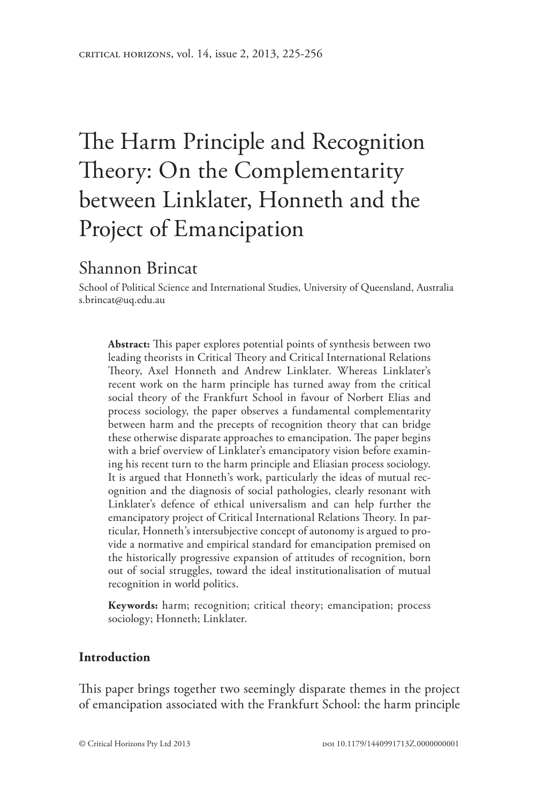# The Harm Principle and Recognition Theory: On the Complementarity between Linklater, Honneth and the Project of Emancipation

## Shannon Brincat

School of Political Science and International Studies, University of Queensland, Australia s.brincat@uq.edu.au

**Abstract:** This paper explores potential points of synthesis between two leading theorists in Critical Theory and Critical International Relations Theory, Axel Honneth and Andrew Linklater. Whereas Linklater's recent work on the harm principle has turned away from the critical social theory of the Frankfurt School in favour of Norbert Elias and process sociology, the paper observes a fundamental complementarity between harm and the precepts of recognition theory that can bridge these otherwise disparate approaches to emancipation. The paper begins with a brief overview of Linklater's emancipatory vision before examining his recent turn to the harm principle and Eliasian process sociology. It is argued that Honneth's work, particularly the ideas of mutual recognition and the diagnosis of social pathologies, clearly resonant with Linklater's defence of ethical universalism and can help further the emancipatory project of Critical International Relations Theory. In particular, Honneth's intersubjective concept of autonomy is argued to provide a normative and empirical standard for emancipation premised on the historically progressive expansion of attitudes of recognition, born out of social struggles, toward the ideal institutionalisation of mutual recognition in world politics.

**Keywords:** harm; recognition; critical theory; emancipation; process sociology; Honneth; Linklater.

## **Introduction**

This paper brings together two seemingly disparate themes in the project of emancipation associated with the Frankfurt School: the harm principle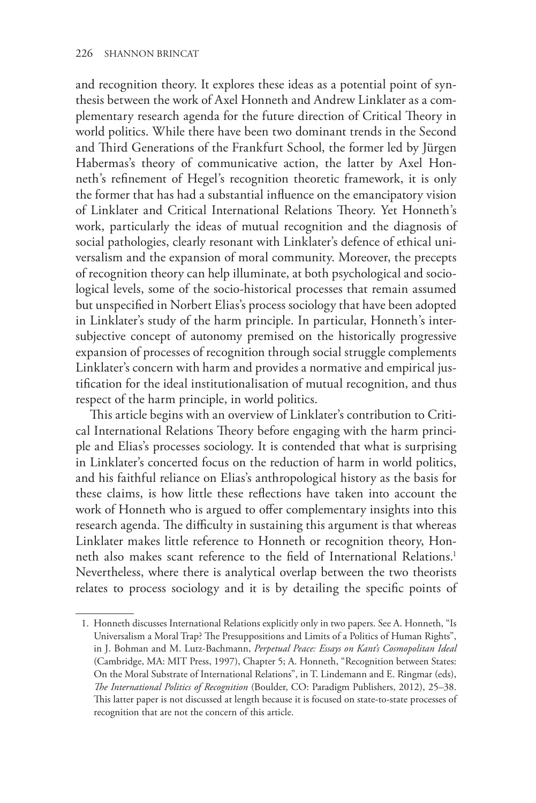and recognition theory. It explores these ideas as a potential point of synthesis between the work of Axel Honneth and Andrew Linklater as a complementary research agenda for the future direction of Critical Theory in world politics. While there have been two dominant trends in the Second and Third Generations of the Frankfurt School, the former led by Jürgen Habermas's theory of communicative action, the latter by Axel Honneth's refinement of Hegel's recognition theoretic framework, it is only the former that has had a substantial influence on the emancipatory vision of Linklater and Critical International Relations Theory. Yet Honneth's work, particularly the ideas of mutual recognition and the diagnosis of social pathologies, clearly resonant with Linklater's defence of ethical universalism and the expansion of moral community. Moreover, the precepts of recognition theory can help illuminate, at both psychological and sociological levels, some of the socio-historical processes that remain assumed but unspecified in Norbert Elias's process sociology that have been adopted in Linklater's study of the harm principle. In particular, Honneth's intersubjective concept of autonomy premised on the historically progressive expansion of processes of recognition through social struggle complements Linklater's concern with harm and provides a normative and empirical justification for the ideal institutionalisation of mutual recognition, and thus respect of the harm principle, in world politics.

This article begins with an overview of Linklater's contribution to Critical International Relations Theory before engaging with the harm principle and Elias's processes sociology. It is contended that what is surprising in Linklater's concerted focus on the reduction of harm in world politics, and his faithful reliance on Elias's anthropological history as the basis for these claims, is how little these reflections have taken into account the work of Honneth who is argued to offer complementary insights into this research agenda. The difficulty in sustaining this argument is that whereas Linklater makes little reference to Honneth or recognition theory, Honneth also makes scant reference to the field of International Relations.<sup>1</sup> Nevertheless, where there is analytical overlap between the two theorists relates to process sociology and it is by detailing the specific points of

<sup>1.</sup> Honneth discusses International Relations explicitly only in two papers. See A. Honneth, "Is Universalism a Moral Trap? The Presuppositions and Limits of a Politics of Human Rights", in J. Bohman and M. Lutz-Bachmann, *Perpetual Peace: Essays on Kant's Cosmopolitan Ideal* (Cambridge, MA: MIT Press, 1997), Chapter 5; A. Honneth, "Recognition between States: On the Moral Substrate of International Relations", in T. Lindemann and E. Ringmar (eds), *The International Politics of Recognition* (Boulder, CO: Paradigm Publishers, 2012), 25–38. This latter paper is not discussed at length because it is focused on state-to-state processes of recognition that are not the concern of this article.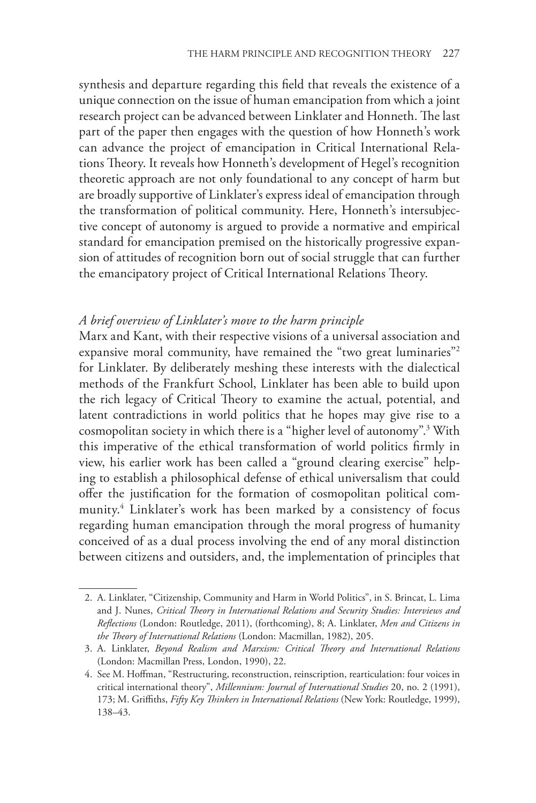synthesis and departure regarding this field that reveals the existence of a unique connection on the issue of human emancipation from which a joint research project can be advanced between Linklater and Honneth. The last part of the paper then engages with the question of how Honneth's work can advance the project of emancipation in Critical International Relations Theory. It reveals how Honneth's development of Hegel's recognition theoretic approach are not only foundational to any concept of harm but are broadly supportive of Linklater's express ideal of emancipation through the transformation of political community. Here, Honneth's intersubjective concept of autonomy is argued to provide a normative and empirical standard for emancipation premised on the historically progressive expansion of attitudes of recognition born out of social struggle that can further the emancipatory project of Critical International Relations Theory.

## *A brief overview of Linklater's move to the harm principle*

Marx and Kant, with their respective visions of a universal association and expansive moral community, have remained the "two great luminaries"<sup>2</sup> for Linklater. By deliberately meshing these interests with the dialectical methods of the Frankfurt School, Linklater has been able to build upon the rich legacy of Critical Theory to examine the actual, potential, and latent contradictions in world politics that he hopes may give rise to a cosmopolitan society in which there is a "higher level of autonomy".3 With this imperative of the ethical transformation of world politics firmly in view, his earlier work has been called a "ground clearing exercise" helping to establish a philosophical defense of ethical universalism that could offer the justification for the formation of cosmopolitan political community.4 Linklater's work has been marked by a consistency of focus regarding human emancipation through the moral progress of humanity conceived of as a dual process involving the end of any moral distinction between citizens and outsiders, and, the implementation of principles that

<sup>2.</sup> A. Linklater, "Citizenship, Community and Harm in World Politics", in S. Brincat, L. Lima and J. Nunes, *Critical Theory in International Relations and Security Studies: Interviews and Reflections* (London: Routledge, 2011), (forthcoming), 8; A. Linklater, *Men and Citizens in the Theory of International Relations* (London: Macmillan, 1982), 205.

<sup>3.</sup> A. Linklater, *Beyond Realism and Marxism: Critical Theory and International Relations* (London: Macmillan Press, London, 1990), 22.

<sup>4.</sup> See M. Hoffman, "Restructuring, reconstruction, reinscription, rearticulation: four voices in critical international theory", *Millennium: Journal of International Studies* 20, no. 2 (1991), 173; M. Griffiths, *Fifty Key Thinkers in International Relations* (New York: Routledge, 1999), 138–43.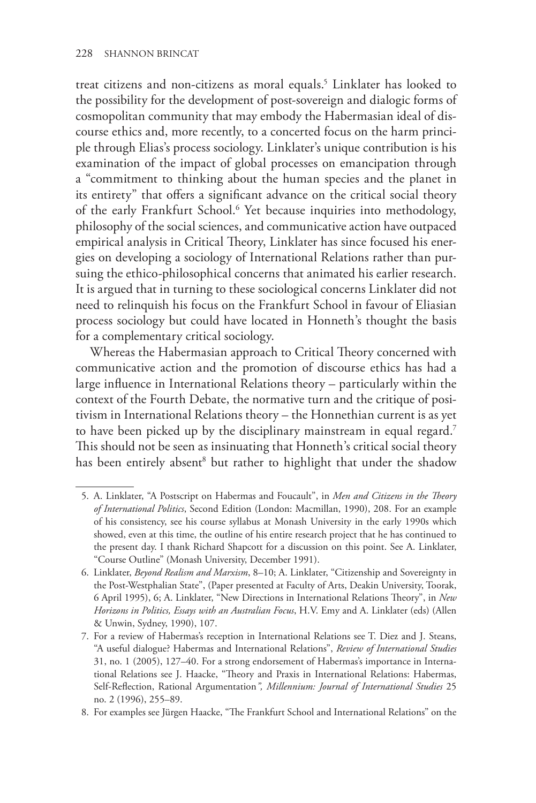treat citizens and non-citizens as moral equals.5 Linklater has looked to the possibility for the development of post-sovereign and dialogic forms of cosmopolitan community that may embody the Habermasian ideal of discourse ethics and, more recently, to a concerted focus on the harm principle through Elias's process sociology. Linklater's unique contribution is his examination of the impact of global processes on emancipation through a "commitment to thinking about the human species and the planet in its entirety" that offers a significant advance on the critical social theory of the early Frankfurt School.6 Yet because inquiries into methodology, philosophy of the social sciences, and communicative action have outpaced empirical analysis in Critical Theory, Linklater has since focused his energies on developing a sociology of International Relations rather than pursuing the ethico-philosophical concerns that animated his earlier research. It is argued that in turning to these sociological concerns Linklater did not need to relinquish his focus on the Frankfurt School in favour of Eliasian process sociology but could have located in Honneth's thought the basis for a complementary critical sociology.

Whereas the Habermasian approach to Critical Theory concerned with communicative action and the promotion of discourse ethics has had a large influence in International Relations theory – particularly within the context of the Fourth Debate, the normative turn and the critique of positivism in International Relations theory – the Honnethian current is as yet to have been picked up by the disciplinary mainstream in equal regard.7 This should not be seen as insinuating that Honneth's critical social theory has been entirely absent<sup>8</sup> but rather to highlight that under the shadow

<sup>5.</sup> A. Linklater, "A Postscript on Habermas and Foucault", in *Men and Citizens in the Theory of International Politics*, Second Edition (London: Macmillan, 1990), 208. For an example of his consistency, see his course syllabus at Monash University in the early 1990s which showed, even at this time, the outline of his entire research project that he has continued to the present day. I thank Richard Shapcott for a discussion on this point. See A. Linklater, "Course Outline" (Monash University, December 1991).

<sup>6.</sup> Linklater, *Beyond Realism and Marxism*, 8–10; A. Linklater, "Citizenship and Sovereignty in the Post-Westphalian State", (Paper presented at Faculty of Arts, Deakin University, Toorak, 6 April 1995), 6; A. Linklater, "New Directions in International Relations Theory", in *New Horizons in Politics, Essays with an Australian Focus*, H.V. Emy and A. Linklater (eds) (Allen & Unwin, Sydney, 1990), 107.

<sup>7.</sup> For a review of Habermas's reception in International Relations see T. Diez and J. Steans, "A useful dialogue? Habermas and International Relations", *Review of International Studies* 31, no. 1 (2005), 127–40. For a strong endorsement of Habermas's importance in International Relations see J. Haacke, "Theory and Praxis in International Relations: Habermas, Self-Reflection, Rational Argumentation*", Millennium: Journal of International Studies* 25 no. 2 (1996), 255–89.

<sup>8.</sup> For examples see Jürgen Haacke, "The Frankfurt School and International Relations" on the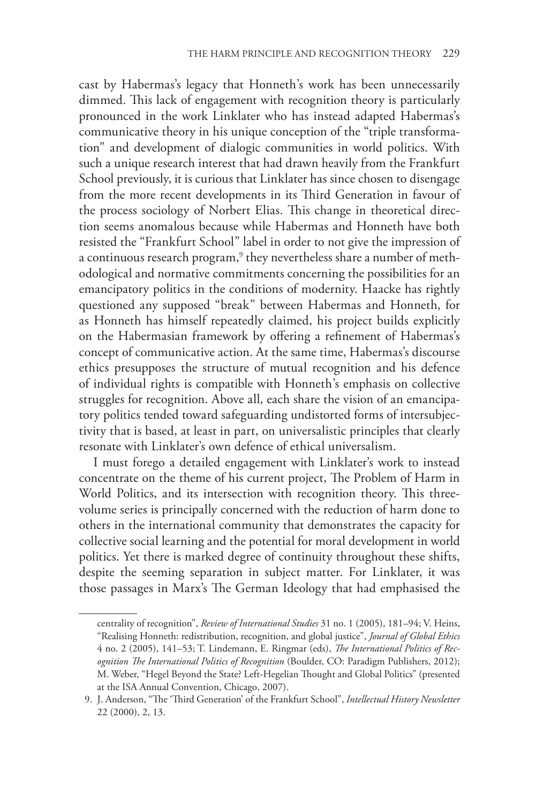cast by Habermas's legacy that Honneth's work has been unnecessarily dimmed. This lack of engagement with recognition theory is particularly pronounced in the work Linklater who has instead adapted Habermas's communicative theory in his unique conception of the "triple transformation" and development of dialogic communities in world politics. With such a unique research interest that had drawn heavily from the Frankfurt School previously, it is curious that Linklater has since chosen to disengage from the more recent developments in its Third Generation in favour of the process sociology of Norbert Elias. This change in theoretical direction seems anomalous because while Habermas and Honneth have both resisted the "Frankfurt School" label in order to not give the impression of a continuous research program, $^9$  they nevertheless share a number of methodological and normative commitments concerning the possibilities for an emancipatory politics in the conditions of modernity. Haacke has rightly questioned any supposed "break" between Habermas and Honneth, for as Honneth has himself repeatedly claimed, his project builds explicitly on the Habermasian framework by offering a refinement of Habermas's concept of communicative action. At the same time, Habermas's discourse ethics presupposes the structure of mutual recognition and his defence of individual rights is compatible with Honneth's emphasis on collective struggles for recognition. Above all, each share the vision of an emancipatory politics tended toward safeguarding undistorted forms of intersubjectivity that is based, at least in part, on universalistic principles that clearly resonate with Linklater's own defence of ethical universalism.

I must forego a detailed engagement with Linklater's work to instead concentrate on the theme of his current project, The Problem of Harm in World Politics, and its intersection with recognition theory. This threevolume series is principally concerned with the reduction of harm done to others in the international community that demonstrates the capacity for collective social learning and the potential for moral development in world politics. Yet there is marked degree of continuity throughout these shifts, despite the seeming separation in subject matter. For Linklater, it was those passages in Marx's The German Ideology that had emphasised the

centrality of recognition", *Review of International Studies* 31 no. 1 (2005), 181–94; V. Heins, "Realising Honneth: redistribution, recognition, and global justice", *Journal of Global Ethics* 4 no. 2 (2005), 141–53; T. Lindemann, E. Ringmar (eds), *The International Politics of Recognition The International Politics of Recognition* (Boulder, CO: Paradigm Publishers, 2012); M. Weber, "Hegel Beyond the State? Left-Hegelian Thought and Global Politics" (presented at the ISA Annual Convention, Chicago, 2007).

<sup>9.</sup> J. Anderson, "The 'Third Generation' of the Frankfurt School", *Intellectual History Newsletter* 22 (2000), 2, 13.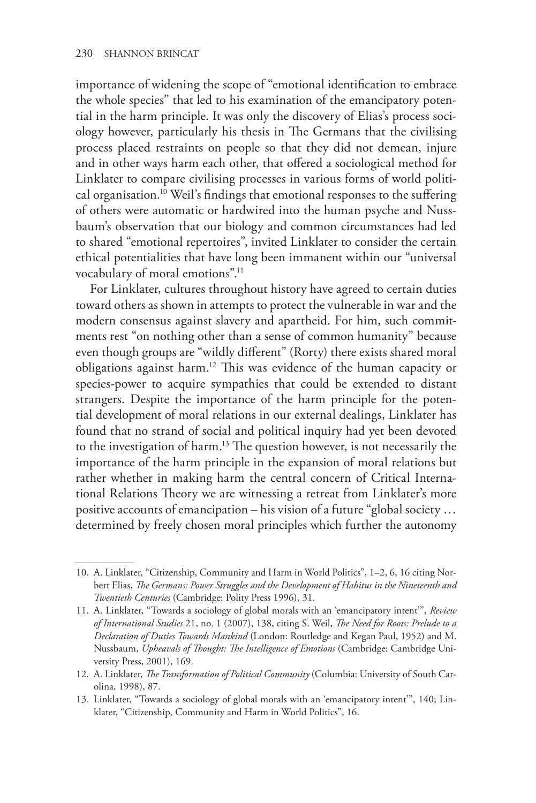importance of widening the scope of "emotional identification to embrace the whole species" that led to his examination of the emancipatory potential in the harm principle. It was only the discovery of Elias's process sociology however, particularly his thesis in The Germans that the civilising process placed restraints on people so that they did not demean, injure and in other ways harm each other, that offered a sociological method for Linklater to compare civilising processes in various forms of world political organisation.10 Weil's findings that emotional responses to the suffering of others were automatic or hardwired into the human psyche and Nussbaum's observation that our biology and common circumstances had led to shared "emotional repertoires", invited Linklater to consider the certain ethical potentialities that have long been immanent within our "universal vocabulary of moral emotions".11

For Linklater, cultures throughout history have agreed to certain duties toward others as shown in attempts to protect the vulnerable in war and the modern consensus against slavery and apartheid. For him, such commitments rest "on nothing other than a sense of common humanity" because even though groups are "wildly different" (Rorty) there exists shared moral obligations against harm.12 This was evidence of the human capacity or species-power to acquire sympathies that could be extended to distant strangers. Despite the importance of the harm principle for the potential development of moral relations in our external dealings, Linklater has found that no strand of social and political inquiry had yet been devoted to the investigation of harm.<sup>13</sup> The question however, is not necessarily the importance of the harm principle in the expansion of moral relations but rather whether in making harm the central concern of Critical International Relations Theory we are witnessing a retreat from Linklater's more positive accounts of emancipation – his vision of a future "global society … determined by freely chosen moral principles which further the autonomy

<sup>10.</sup> A. Linklater, "Citizenship, Community and Harm in World Politics", 1–2, 6, 16 citing Norbert Elias, *The Germans: Power Struggles and the Development of Habitus in the Nineteenth and Twentieth Centuries* (Cambridge: Polity Press 1996), 31.

<sup>11.</sup> A. Linklater, "Towards a sociology of global morals with an 'emancipatory intent'", *Review of International Studies* 21, no. 1 (2007), 138, citing S. Weil, *The Need for Roots: Prelude to a Declaration of Duties Towards Mankind* (London: Routledge and Kegan Paul, 1952) and M. Nussbaum, *Upheavals of Thought: The Intelligence of Emotions* (Cambridge: Cambridge University Press, 2001), 169.

<sup>12.</sup> A. Linklater, *The Transformation of Political Community* (Columbia: University of South Carolina, 1998), 87.

<sup>13.</sup> Linklater, "Towards a sociology of global morals with an 'emancipatory intent'", 140; Linklater, "Citizenship, Community and Harm in World Politics", 16.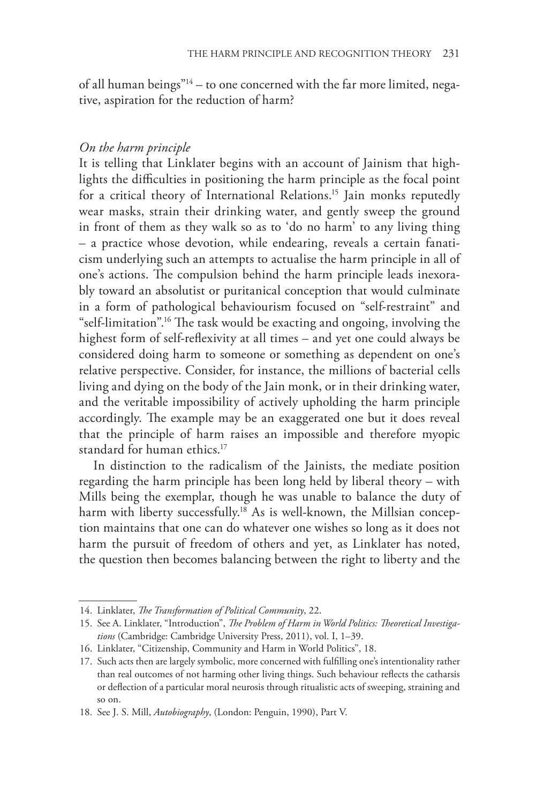of all human beings"14 – to one concerned with the far more limited, negative, aspiration for the reduction of harm?

## *On the harm principle*

It is telling that Linklater begins with an account of Jainism that highlights the difficulties in positioning the harm principle as the focal point for a critical theory of International Relations.<sup>15</sup> Jain monks reputedly wear masks, strain their drinking water, and gently sweep the ground in front of them as they walk so as to 'do no harm' to any living thing – a practice whose devotion, while endearing, reveals a certain fanaticism underlying such an attempts to actualise the harm principle in all of one's actions. The compulsion behind the harm principle leads inexorably toward an absolutist or puritanical conception that would culminate in a form of pathological behaviourism focused on "self-restraint" and "self-limitation".16 The task would be exacting and ongoing, involving the highest form of self-reflexivity at all times – and yet one could always be considered doing harm to someone or something as dependent on one's relative perspective. Consider, for instance, the millions of bacterial cells living and dying on the body of the Jain monk, or in their drinking water, and the veritable impossibility of actively upholding the harm principle accordingly. The example may be an exaggerated one but it does reveal that the principle of harm raises an impossible and therefore myopic standard for human ethics.<sup>17</sup>

In distinction to the radicalism of the Jainists, the mediate position regarding the harm principle has been long held by liberal theory – with Mills being the exemplar, though he was unable to balance the duty of harm with liberty successfully.<sup>18</sup> As is well-known, the Millsian conception maintains that one can do whatever one wishes so long as it does not harm the pursuit of freedom of others and yet, as Linklater has noted, the question then becomes balancing between the right to liberty and the

<sup>14.</sup> Linklater, *The Transformation of Political Community*, 22.

<sup>15.</sup> See A. Linklater, "Introduction", *The Problem of Harm in World Politics: Theoretical Investigations* (Cambridge: Cambridge University Press, 2011), vol. I, 1–39.

<sup>16.</sup> Linklater, "Citizenship, Community and Harm in World Politics", 18.

<sup>17.</sup> Such acts then are largely symbolic, more concerned with fulfilling one's intentionality rather than real outcomes of not harming other living things. Such behaviour reflects the catharsis or deflection of a particular moral neurosis through ritualistic acts of sweeping, straining and so on.

<sup>18.</sup> See J. S. Mill, *Autobiography*, (London: Penguin, 1990), Part V.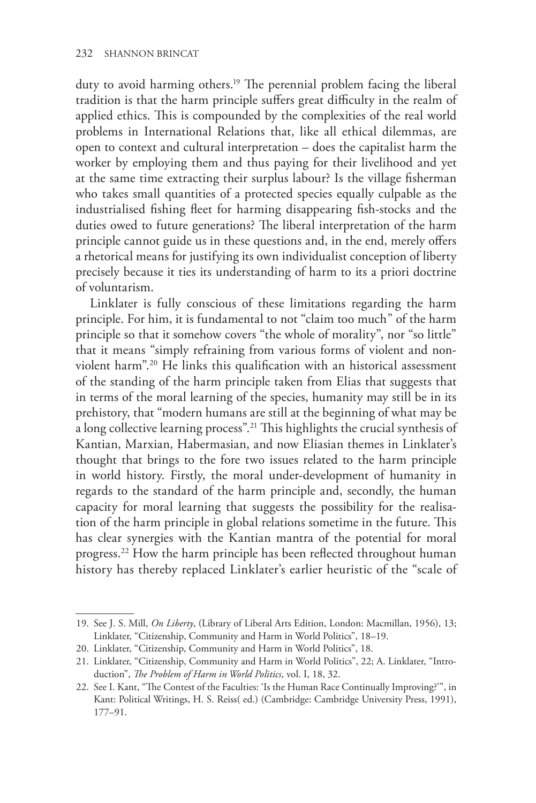duty to avoid harming others.<sup>19</sup> The perennial problem facing the liberal tradition is that the harm principle suffers great difficulty in the realm of applied ethics. This is compounded by the complexities of the real world problems in International Relations that, like all ethical dilemmas, are open to context and cultural interpretation – does the capitalist harm the worker by employing them and thus paying for their livelihood and yet at the same time extracting their surplus labour? Is the village fisherman who takes small quantities of a protected species equally culpable as the industrialised fishing fleet for harming disappearing fish-stocks and the duties owed to future generations? The liberal interpretation of the harm principle cannot guide us in these questions and, in the end, merely offers a rhetorical means for justifying its own individualist conception of liberty precisely because it ties its understanding of harm to its a priori doctrine of voluntarism.

Linklater is fully conscious of these limitations regarding the harm principle. For him, it is fundamental to not "claim too much" of the harm principle so that it somehow covers "the whole of morality", nor "so little" that it means "simply refraining from various forms of violent and nonviolent harm".20 He links this qualification with an historical assessment of the standing of the harm principle taken from Elias that suggests that in terms of the moral learning of the species, humanity may still be in its prehistory, that "modern humans are still at the beginning of what may be a long collective learning process".21 This highlights the crucial synthesis of Kantian, Marxian, Habermasian, and now Eliasian themes in Linklater's thought that brings to the fore two issues related to the harm principle in world history. Firstly, the moral under-development of humanity in regards to the standard of the harm principle and, secondly, the human capacity for moral learning that suggests the possibility for the realisation of the harm principle in global relations sometime in the future. This has clear synergies with the Kantian mantra of the potential for moral progress.22 How the harm principle has been reflected throughout human history has thereby replaced Linklater's earlier heuristic of the "scale of

<sup>19.</sup> See J. S. Mill, *On Liberty*, (Library of Liberal Arts Edition, London: Macmillan, 1956), 13; Linklater, "Citizenship, Community and Harm in World Politics", 18–19.

<sup>20.</sup> Linklater, "Citizenship, Community and Harm in World Politics", 18.

<sup>21.</sup> Linklater, "Citizenship, Community and Harm in World Politics", 22; A. Linklater, "Introduction", *The Problem of Harm in World Politics*, vol. I, 18, 32.

<sup>22.</sup> See I. Kant, "The Contest of the Faculties: 'Is the Human Race Continually Improving?'", in Kant: Political Writings, H. S. Reiss( ed.) (Cambridge: Cambridge University Press, 1991), 177–91.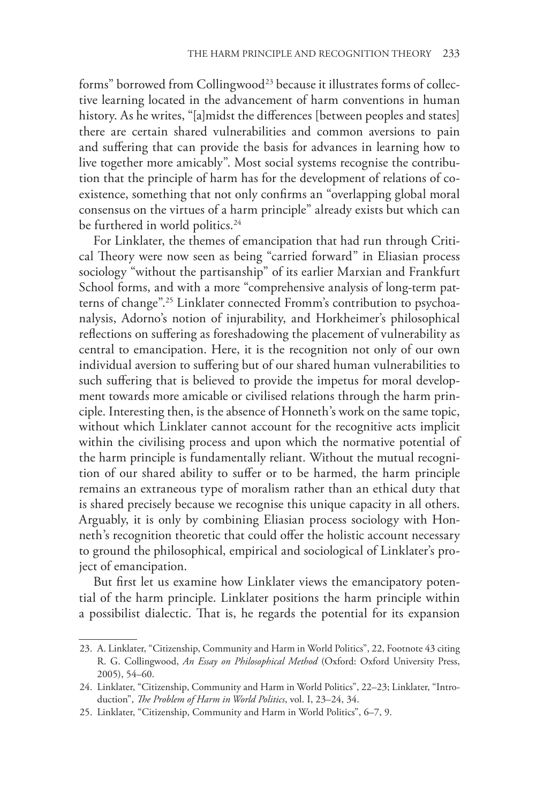forms" borrowed from Collingwood<sup>23</sup> because it illustrates forms of collective learning located in the advancement of harm conventions in human history. As he writes, "[a]midst the differences [between peoples and states] there are certain shared vulnerabilities and common aversions to pain and suffering that can provide the basis for advances in learning how to live together more amicably". Most social systems recognise the contribution that the principle of harm has for the development of relations of coexistence, something that not only confirms an "overlapping global moral consensus on the virtues of a harm principle" already exists but which can be furthered in world politics.<sup>24</sup>

For Linklater, the themes of emancipation that had run through Critical Theory were now seen as being "carried forward" in Eliasian process sociology "without the partisanship" of its earlier Marxian and Frankfurt School forms, and with a more "comprehensive analysis of long-term patterns of change".25 Linklater connected Fromm's contribution to psychoanalysis, Adorno's notion of injurability, and Horkheimer's philosophical reflections on suffering as foreshadowing the placement of vulnerability as central to emancipation. Here, it is the recognition not only of our own individual aversion to suffering but of our shared human vulnerabilities to such suffering that is believed to provide the impetus for moral development towards more amicable or civilised relations through the harm principle. Interesting then, is the absence of Honneth's work on the same topic, without which Linklater cannot account for the recognitive acts implicit within the civilising process and upon which the normative potential of the harm principle is fundamentally reliant. Without the mutual recognition of our shared ability to suffer or to be harmed, the harm principle remains an extraneous type of moralism rather than an ethical duty that is shared precisely because we recognise this unique capacity in all others. Arguably, it is only by combining Eliasian process sociology with Honneth's recognition theoretic that could offer the holistic account necessary to ground the philosophical, empirical and sociological of Linklater's project of emancipation.

But first let us examine how Linklater views the emancipatory potential of the harm principle. Linklater positions the harm principle within a possibilist dialectic. That is, he regards the potential for its expansion

<sup>23.</sup> A. Linklater, "Citizenship, Community and Harm in World Politics", 22, Footnote 43 citing R. G. Collingwood, *An Essay on Philosophical Method* (Oxford: Oxford University Press, 2005), 54–60.

<sup>24.</sup> Linklater, "Citizenship, Community and Harm in World Politics", 22–23; Linklater, "Introduction", *The Problem of Harm in World Politics*, vol. I, 23–24, 34.

<sup>25.</sup> Linklater, "Citizenship, Community and Harm in World Politics", 6–7, 9.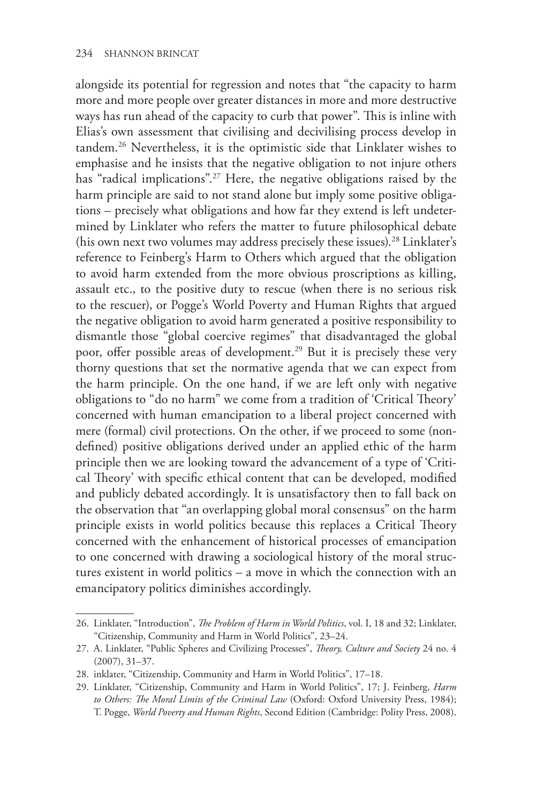alongside its potential for regression and notes that "the capacity to harm more and more people over greater distances in more and more destructive ways has run ahead of the capacity to curb that power". This is inline with Elias's own assessment that civilising and decivilising process develop in tandem.26 Nevertheless, it is the optimistic side that Linklater wishes to emphasise and he insists that the negative obligation to not injure others has "radical implications".<sup>27</sup> Here, the negative obligations raised by the harm principle are said to not stand alone but imply some positive obligations – precisely what obligations and how far they extend is left undetermined by Linklater who refers the matter to future philosophical debate (his own next two volumes may address precisely these issues).28 Linklater's reference to Feinberg's Harm to Others which argued that the obligation to avoid harm extended from the more obvious proscriptions as killing, assault etc., to the positive duty to rescue (when there is no serious risk to the rescuer), or Pogge's World Poverty and Human Rights that argued the negative obligation to avoid harm generated a positive responsibility to dismantle those "global coercive regimes" that disadvantaged the global poor, offer possible areas of development.<sup>29</sup> But it is precisely these very thorny questions that set the normative agenda that we can expect from the harm principle. On the one hand, if we are left only with negative obligations to "do no harm" we come from a tradition of 'Critical Theory' concerned with human emancipation to a liberal project concerned with mere (formal) civil protections. On the other, if we proceed to some (nondefined) positive obligations derived under an applied ethic of the harm principle then we are looking toward the advancement of a type of 'Critical Theory' with specific ethical content that can be developed, modified and publicly debated accordingly. It is unsatisfactory then to fall back on the observation that "an overlapping global moral consensus" on the harm principle exists in world politics because this replaces a Critical Theory concerned with the enhancement of historical processes of emancipation to one concerned with drawing a sociological history of the moral structures existent in world politics – a move in which the connection with an emancipatory politics diminishes accordingly.

<sup>26.</sup> Linklater, "Introduction", *The Problem of Harm in World Politics*, vol. I, 18 and 32; Linklater, "Citizenship, Community and Harm in World Politics", 23–24.

<sup>27.</sup> A. Linklater, "Public Spheres and Civilizing Processes", *Theory, Culture and Society* 24 no. 4 (2007), 31–37.

<sup>28.</sup> inklater, "Citizenship, Community and Harm in World Politics", 17–18.

<sup>29.</sup> Linklater, "Citizenship, Community and Harm in World Politics", 17; J. Feinberg, *Harm to Others: The Moral Limits of the Criminal Law* (Oxford: Oxford University Press, 1984); T. Pogge, *World Poverty and Human Rights*, Second Edition (Cambridge: Polity Press, 2008).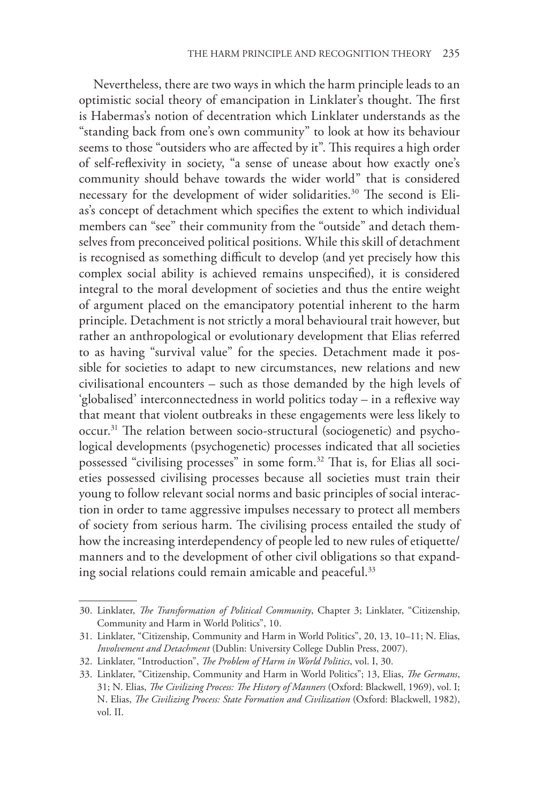Nevertheless, there are two ways in which the harm principle leads to an optimistic social theory of emancipation in Linklater's thought. The first is Habermas's notion of decentration which Linklater understands as the "standing back from one's own community" to look at how its behaviour seems to those "outsiders who are affected by it". This requires a high order of self-reflexivity in society, "a sense of unease about how exactly one's community should behave towards the wider world" that is considered necessary for the development of wider solidarities.30 The second is Elias's concept of detachment which specifies the extent to which individual members can "see" their community from the "outside" and detach themselves from preconceived political positions. While this skill of detachment is recognised as something difficult to develop (and yet precisely how this complex social ability is achieved remains unspecified), it is considered integral to the moral development of societies and thus the entire weight of argument placed on the emancipatory potential inherent to the harm principle. Detachment is not strictly a moral behavioural trait however, but rather an anthropological or evolutionary development that Elias referred to as having "survival value" for the species. Detachment made it possible for societies to adapt to new circumstances, new relations and new civilisational encounters – such as those demanded by the high levels of 'globalised' interconnectedness in world politics today – in a reflexive way that meant that violent outbreaks in these engagements were less likely to occur.31 The relation between socio-structural (sociogenetic) and psychological developments (psychogenetic) processes indicated that all societies possessed "civilising processes" in some form.32 That is, for Elias all societies possessed civilising processes because all societies must train their young to follow relevant social norms and basic principles of social interaction in order to tame aggressive impulses necessary to protect all members of society from serious harm. The civilising process entailed the study of how the increasing interdependency of people led to new rules of etiquette/ manners and to the development of other civil obligations so that expanding social relations could remain amicable and peaceful.<sup>33</sup>

<sup>30.</sup> Linklater, *The Transformation of Political Community*, Chapter 3; Linklater, "Citizenship, Community and Harm in World Politics", 10.

<sup>31.</sup> Linklater, "Citizenship, Community and Harm in World Politics", 20, 13, 10–11; N. Elias, *Involvement and Detachment* (Dublin: University College Dublin Press, 2007).

<sup>32.</sup> Linklater, "Introduction", *The Problem of Harm in World Politics*, vol. I, 30.

<sup>33.</sup> Linklater, "Citizenship, Community and Harm in World Politics"; 13, Elias, *The Germans*, 31; N. Elias, *The Civilizing Process: The History of Manners* (Oxford: Blackwell, 1969), vol. I; N. Elias, *The Civilizing Process: State Formation and Civilization* (Oxford: Blackwell, 1982), vol. II.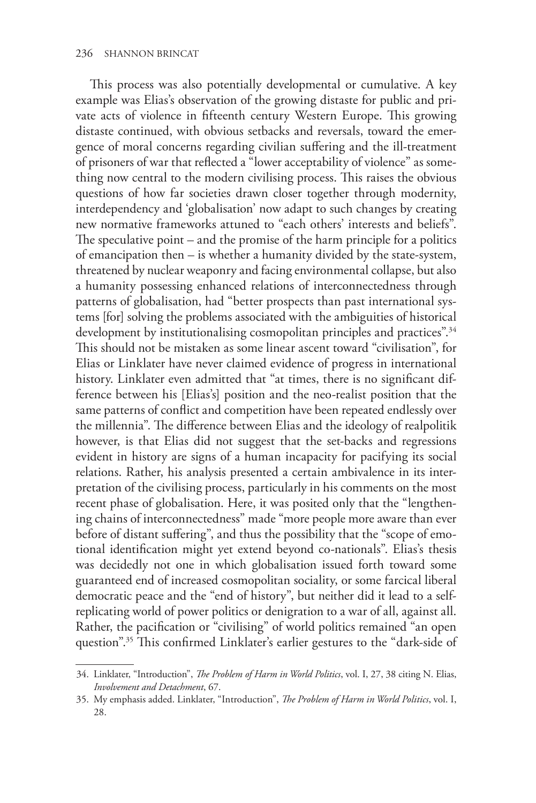This process was also potentially developmental or cumulative. A key example was Elias's observation of the growing distaste for public and private acts of violence in fifteenth century Western Europe. This growing distaste continued, with obvious setbacks and reversals, toward the emergence of moral concerns regarding civilian suffering and the ill-treatment of prisoners of war that reflected a "lower acceptability of violence" as something now central to the modern civilising process. This raises the obvious questions of how far societies drawn closer together through modernity, interdependency and 'globalisation' now adapt to such changes by creating new normative frameworks attuned to "each others' interests and beliefs". The speculative point – and the promise of the harm principle for a politics of emancipation then – is whether a humanity divided by the state-system, threatened by nuclear weaponry and facing environmental collapse, but also a humanity possessing enhanced relations of interconnectedness through patterns of globalisation, had "better prospects than past international systems [for] solving the problems associated with the ambiguities of historical development by institutionalising cosmopolitan principles and practices".<sup>34</sup> This should not be mistaken as some linear ascent toward "civilisation", for Elias or Linklater have never claimed evidence of progress in international history. Linklater even admitted that "at times, there is no significant difference between his [Elias's] position and the neo-realist position that the same patterns of conflict and competition have been repeated endlessly over the millennia". The difference between Elias and the ideology of realpolitik however, is that Elias did not suggest that the set-backs and regressions evident in history are signs of a human incapacity for pacifying its social relations. Rather, his analysis presented a certain ambivalence in its interpretation of the civilising process, particularly in his comments on the most recent phase of globalisation. Here, it was posited only that the "lengthening chains of interconnectedness" made "more people more aware than ever before of distant suffering", and thus the possibility that the "scope of emotional identification might yet extend beyond co-nationals". Elias's thesis was decidedly not one in which globalisation issued forth toward some guaranteed end of increased cosmopolitan sociality, or some farcical liberal democratic peace and the "end of history", but neither did it lead to a selfreplicating world of power politics or denigration to a war of all, against all. Rather, the pacification or "civilising" of world politics remained "an open question".35 This confirmed Linklater's earlier gestures to the "dark-side of

<sup>34.</sup> Linklater, "Introduction", *The Problem of Harm in World Politics*, vol. I, 27, 38 citing N. Elias, *Involvement and Detachment*, 67.

<sup>35.</sup> My emphasis added. Linklater, "Introduction", *The Problem of Harm in World Politics*, vol. I, 28.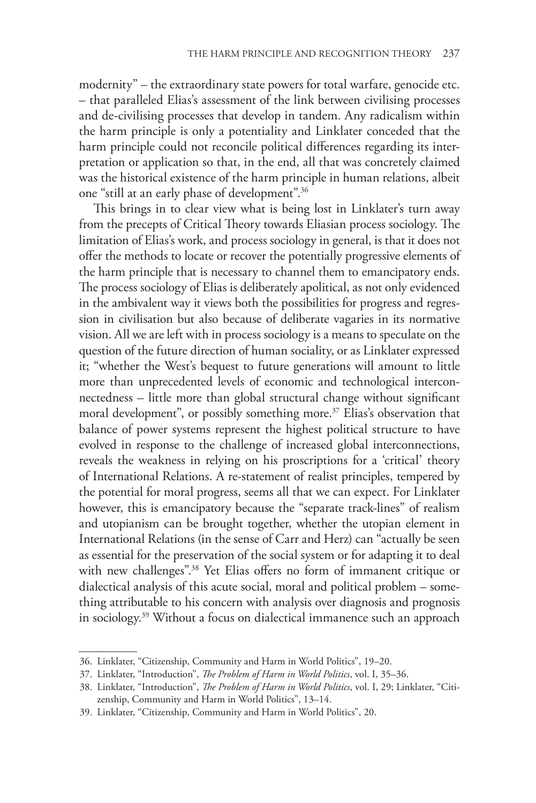modernity" – the extraordinary state powers for total warfare, genocide etc. – that paralleled Elias's assessment of the link between civilising processes and de-civilising processes that develop in tandem. Any radicalism within the harm principle is only a potentiality and Linklater conceded that the harm principle could not reconcile political differences regarding its interpretation or application so that, in the end, all that was concretely claimed was the historical existence of the harm principle in human relations, albeit one "still at an early phase of development".36

This brings in to clear view what is being lost in Linklater's turn away from the precepts of Critical Theory towards Eliasian process sociology. The limitation of Elias's work, and process sociology in general, is that it does not offer the methods to locate or recover the potentially progressive elements of the harm principle that is necessary to channel them to emancipatory ends. The process sociology of Elias is deliberately apolitical, as not only evidenced in the ambivalent way it views both the possibilities for progress and regression in civilisation but also because of deliberate vagaries in its normative vision. All we are left with in process sociology is a means to speculate on the question of the future direction of human sociality, or as Linklater expressed it; "whether the West's bequest to future generations will amount to little more than unprecedented levels of economic and technological interconnectedness – little more than global structural change without significant moral development", or possibly something more.<sup>37</sup> Elias's observation that balance of power systems represent the highest political structure to have evolved in response to the challenge of increased global interconnections, reveals the weakness in relying on his proscriptions for a 'critical' theory of International Relations. A re-statement of realist principles, tempered by the potential for moral progress, seems all that we can expect. For Linklater however, this is emancipatory because the "separate track-lines" of realism and utopianism can be brought together, whether the utopian element in International Relations (in the sense of Carr and Herz) can "actually be seen as essential for the preservation of the social system or for adapting it to deal with new challenges".<sup>38</sup> Yet Elias offers no form of immanent critique or dialectical analysis of this acute social, moral and political problem – something attributable to his concern with analysis over diagnosis and prognosis in sociology.39 Without a focus on dialectical immanence such an approach

<sup>36.</sup> Linklater, "Citizenship, Community and Harm in World Politics", 19–20.

<sup>37.</sup> Linklater, "Introduction", *The Problem of Harm in World Politics*, vol. I, 35–36.

<sup>38.</sup> Linklater, "Introduction", *The Problem of Harm in World Politics*, vol. I, 29; Linklater, "Citizenship, Community and Harm in World Politics", 13–14.

<sup>39.</sup> Linklater, "Citizenship, Community and Harm in World Politics", 20.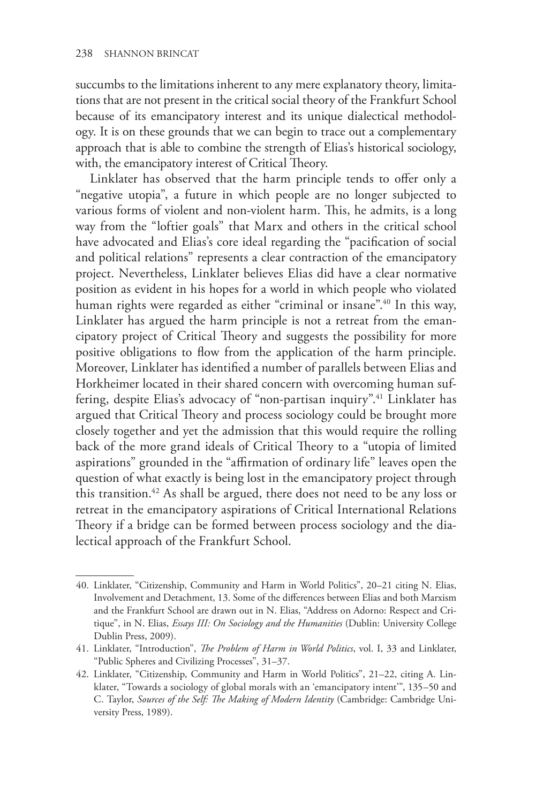succumbs to the limitations inherent to any mere explanatory theory, limitations that are not present in the critical social theory of the Frankfurt School because of its emancipatory interest and its unique dialectical methodology. It is on these grounds that we can begin to trace out a complementary approach that is able to combine the strength of Elias's historical sociology, with, the emancipatory interest of Critical Theory.

Linklater has observed that the harm principle tends to offer only a "negative utopia", a future in which people are no longer subjected to various forms of violent and non-violent harm. This, he admits, is a long way from the "loftier goals" that Marx and others in the critical school have advocated and Elias's core ideal regarding the "pacification of social and political relations" represents a clear contraction of the emancipatory project. Nevertheless, Linklater believes Elias did have a clear normative position as evident in his hopes for a world in which people who violated human rights were regarded as either "criminal or insane".<sup>40</sup> In this way, Linklater has argued the harm principle is not a retreat from the emancipatory project of Critical Theory and suggests the possibility for more positive obligations to flow from the application of the harm principle. Moreover, Linklater has identified a number of parallels between Elias and Horkheimer located in their shared concern with overcoming human suffering, despite Elias's advocacy of "non-partisan inquiry".41 Linklater has argued that Critical Theory and process sociology could be brought more closely together and yet the admission that this would require the rolling back of the more grand ideals of Critical Theory to a "utopia of limited aspirations" grounded in the "affirmation of ordinary life" leaves open the question of what exactly is being lost in the emancipatory project through this transition.42 As shall be argued, there does not need to be any loss or retreat in the emancipatory aspirations of Critical International Relations Theory if a bridge can be formed between process sociology and the dialectical approach of the Frankfurt School.

<sup>40.</sup> Linklater, "Citizenship, Community and Harm in World Politics", 20–21 citing N. Elias, Involvement and Detachment, 13. Some of the differences between Elias and both Marxism and the Frankfurt School are drawn out in N. Elias, "Address on Adorno: Respect and Critique", in N. Elias, *Essays III: On Sociology and the Humanities* (Dublin: University College Dublin Press, 2009).

<sup>41.</sup> Linklater, "Introduction", *The Problem of Harm in World Politics*, vol. I, 33 and Linklater, "Public Spheres and Civilizing Processes", 31–37.

<sup>42.</sup> Linklater, "Citizenship, Community and Harm in World Politics", 21–22, citing A. Linklater, "Towards a sociology of global morals with an 'emancipatory intent'", 135–50 and C. Taylor, *Sources of the Self: The Making of Modern Identity* (Cambridge: Cambridge University Press, 1989).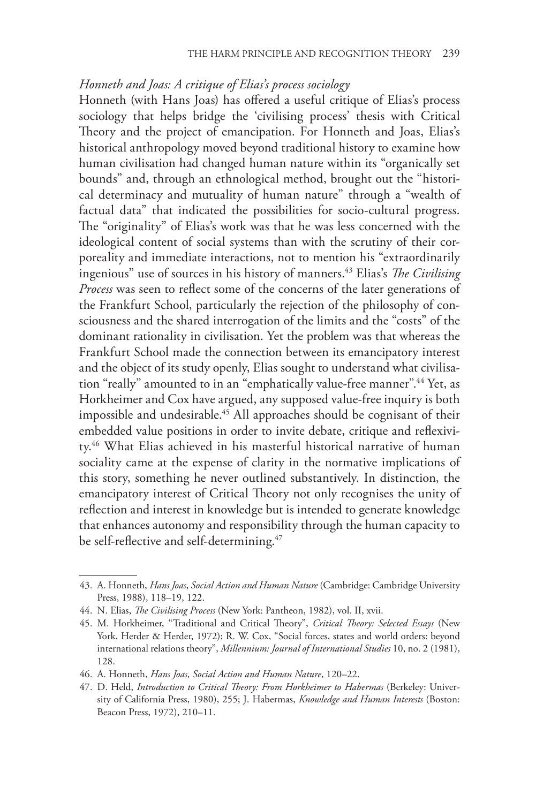## *Honneth and Joas: A critique of Elias's process sociology*

Honneth (with Hans Joas) has offered a useful critique of Elias's process sociology that helps bridge the 'civilising process' thesis with Critical Theory and the project of emancipation. For Honneth and Joas, Elias's historical anthropology moved beyond traditional history to examine how human civilisation had changed human nature within its "organically set bounds" and, through an ethnological method, brought out the "historical determinacy and mutuality of human nature" through a "wealth of factual data" that indicated the possibilities for socio-cultural progress. The "originality" of Elias's work was that he was less concerned with the ideological content of social systems than with the scrutiny of their corporeality and immediate interactions, not to mention his "extraordinarily ingenious" use of sources in his history of manners.43 Elias's *The Civilising Process* was seen to reflect some of the concerns of the later generations of the Frankfurt School, particularly the rejection of the philosophy of consciousness and the shared interrogation of the limits and the "costs" of the dominant rationality in civilisation. Yet the problem was that whereas the Frankfurt School made the connection between its emancipatory interest and the object of its study openly, Elias sought to understand what civilisation "really" amounted to in an "emphatically value-free manner".<sup>44</sup> Yet, as Horkheimer and Cox have argued, any supposed value-free inquiry is both impossible and undesirable.45 All approaches should be cognisant of their embedded value positions in order to invite debate, critique and reflexivity.46 What Elias achieved in his masterful historical narrative of human sociality came at the expense of clarity in the normative implications of this story, something he never outlined substantively. In distinction, the emancipatory interest of Critical Theory not only recognises the unity of reflection and interest in knowledge but is intended to generate knowledge that enhances autonomy and responsibility through the human capacity to be self-reflective and self-determining.<sup>47</sup>

<sup>43.</sup> A. Honneth, *Hans Joas*, *Social Action and Human Nature* (Cambridge: Cambridge University Press, 1988), 118–19, 122.

<sup>44.</sup> N. Elias, *The Civilising Process* (New York: Pantheon, 1982), vol. II, xvii.

<sup>45.</sup> M. Horkheimer, "Traditional and Critical Theory", *Critical Theory: Selected Essays* (New York, Herder & Herder, 1972); R. W. Cox, "Social forces, states and world orders: beyond international relations theory", *Millennium: Journal of International Studies* 10, no. 2 (1981), 128.

<sup>46.</sup> A. Honneth, *Hans Joas, Social Action and Human Nature*, 120–22.

<sup>47.</sup> D. Held, *Introduction to Critical Theory: From Horkheimer to Habermas* (Berkeley: University of California Press, 1980), 255; J. Habermas, *Knowledge and Human Interests* (Boston: Beacon Press, 1972), 210–11.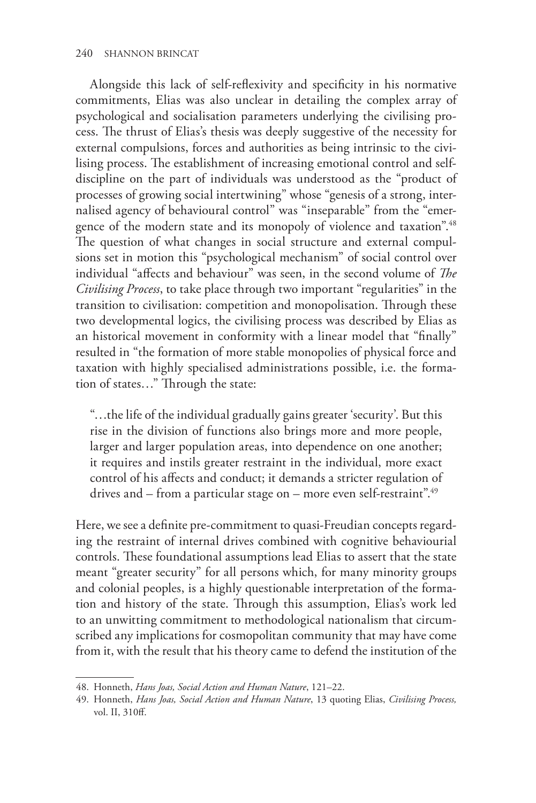Alongside this lack of self-reflexivity and specificity in his normative commitments, Elias was also unclear in detailing the complex array of psychological and socialisation parameters underlying the civilising process. The thrust of Elias's thesis was deeply suggestive of the necessity for external compulsions, forces and authorities as being intrinsic to the civilising process. The establishment of increasing emotional control and selfdiscipline on the part of individuals was understood as the "product of processes of growing social intertwining" whose "genesis of a strong, internalised agency of behavioural control" was "inseparable" from the "emergence of the modern state and its monopoly of violence and taxation".<sup>48</sup> The question of what changes in social structure and external compulsions set in motion this "psychological mechanism" of social control over individual "affects and behaviour" was seen, in the second volume of *The Civilising Process*, to take place through two important "regularities" in the transition to civilisation: competition and monopolisation. Through these two developmental logics, the civilising process was described by Elias as an historical movement in conformity with a linear model that "finally" resulted in "the formation of more stable monopolies of physical force and taxation with highly specialised administrations possible, i.e. the formation of states…" Through the state:

"…the life of the individual gradually gains greater 'security'. But this rise in the division of functions also brings more and more people, larger and larger population areas, into dependence on one another; it requires and instils greater restraint in the individual, more exact control of his affects and conduct; it demands a stricter regulation of drives and – from a particular stage on – more even self-restraint".<sup>49</sup>

Here, we see a definite pre-commitment to quasi-Freudian concepts regarding the restraint of internal drives combined with cognitive behaviourial controls. These foundational assumptions lead Elias to assert that the state meant "greater security" for all persons which, for many minority groups and colonial peoples, is a highly questionable interpretation of the formation and history of the state. Through this assumption, Elias's work led to an unwitting commitment to methodological nationalism that circumscribed any implications for cosmopolitan community that may have come from it, with the result that his theory came to defend the institution of the

<sup>48.</sup> Honneth, *Hans Joas, Social Action and Human Nature*, 121–22.

<sup>49.</sup> Honneth, *Hans Joas, Social Action and Human Nature*, 13 quoting Elias, *Civilising Process,* vol. II, 310ff.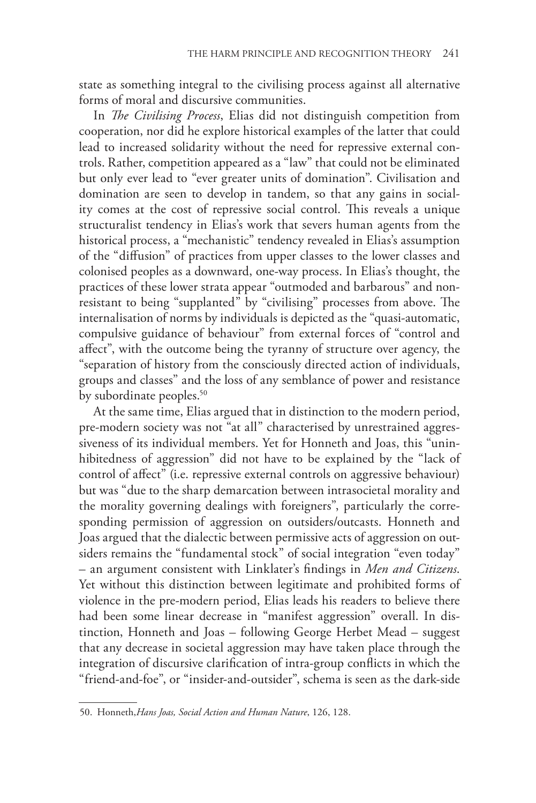state as something integral to the civilising process against all alternative forms of moral and discursive communities.

In *The Civilising Process*, Elias did not distinguish competition from cooperation, nor did he explore historical examples of the latter that could lead to increased solidarity without the need for repressive external controls. Rather, competition appeared as a "law" that could not be eliminated but only ever lead to "ever greater units of domination". Civilisation and domination are seen to develop in tandem, so that any gains in sociality comes at the cost of repressive social control. This reveals a unique structuralist tendency in Elias's work that severs human agents from the historical process, a "mechanistic" tendency revealed in Elias's assumption of the "diffusion" of practices from upper classes to the lower classes and colonised peoples as a downward, one-way process. In Elias's thought, the practices of these lower strata appear "outmoded and barbarous" and nonresistant to being "supplanted" by "civilising" processes from above. The internalisation of norms by individuals is depicted as the "quasi-automatic, compulsive guidance of behaviour" from external forces of "control and affect", with the outcome being the tyranny of structure over agency, the "separation of history from the consciously directed action of individuals, groups and classes" and the loss of any semblance of power and resistance by subordinate peoples.<sup>50</sup>

At the same time, Elias argued that in distinction to the modern period, pre-modern society was not "at all" characterised by unrestrained aggressiveness of its individual members. Yet for Honneth and Joas, this "uninhibitedness of aggression" did not have to be explained by the "lack of control of affect" (i.e. repressive external controls on aggressive behaviour) but was "due to the sharp demarcation between intrasocietal morality and the morality governing dealings with foreigners", particularly the corresponding permission of aggression on outsiders/outcasts. Honneth and Joas argued that the dialectic between permissive acts of aggression on outsiders remains the "fundamental stock" of social integration "even today" – an argument consistent with Linklater's findings in *Men and Citizens*. Yet without this distinction between legitimate and prohibited forms of violence in the pre-modern period, Elias leads his readers to believe there had been some linear decrease in "manifest aggression" overall. In distinction, Honneth and Joas – following George Herbet Mead – suggest that any decrease in societal aggression may have taken place through the integration of discursive clarification of intra-group conflicts in which the "friend-and-foe", or "insider-and-outsider", schema is seen as the dark-side

<sup>50.</sup> Honneth,*Hans Joas, Social Action and Human Nature*, 126, 128.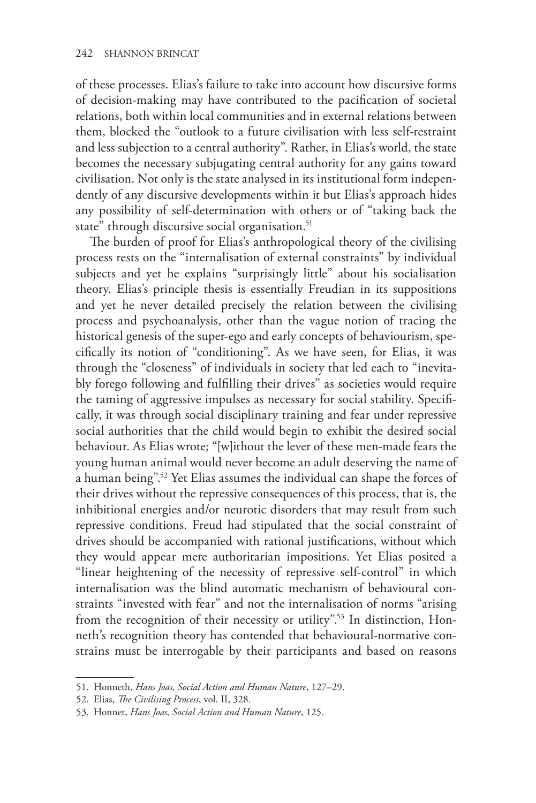of these processes. Elias's failure to take into account how discursive forms of decision-making may have contributed to the pacification of societal relations, both within local communities and in external relations between them, blocked the "outlook to a future civilisation with less self-restraint and less subjection to a central authority". Rather, in Elias's world, the state becomes the necessary subjugating central authority for any gains toward civilisation. Not only is the state analysed in its institutional form independently of any discursive developments within it but Elias's approach hides any possibility of self-determination with others or of "taking back the state" through discursive social organisation.<sup>51</sup>

The burden of proof for Elias's anthropological theory of the civilising process rests on the "internalisation of external constraints" by individual subjects and yet he explains "surprisingly little" about his socialisation theory. Elias's principle thesis is essentially Freudian in its suppositions and yet he never detailed precisely the relation between the civilising process and psychoanalysis, other than the vague notion of tracing the historical genesis of the super-ego and early concepts of behaviourism, specifically its notion of "conditioning". As we have seen, for Elias, it was through the "closeness" of individuals in society that led each to "inevitably forego following and fulfilling their drives" as societies would require the taming of aggressive impulses as necessary for social stability. Specifically, it was through social disciplinary training and fear under repressive social authorities that the child would begin to exhibit the desired social behaviour. As Elias wrote; "[w]ithout the lever of these men-made fears the young human animal would never become an adult deserving the name of a human being".52 Yet Elias assumes the individual can shape the forces of their drives without the repressive consequences of this process, that is, the inhibitional energies and/or neurotic disorders that may result from such repressive conditions. Freud had stipulated that the social constraint of drives should be accompanied with rational justifications, without which they would appear mere authoritarian impositions. Yet Elias posited a "linear heightening of the necessity of repressive self-control" in which internalisation was the blind automatic mechanism of behavioural constraints "invested with fear" and not the internalisation of norms "arising from the recognition of their necessity or utility".<sup>53</sup> In distinction, Honneth's recognition theory has contended that behavioural-normative constrains must be interrogable by their participants and based on reasons

<sup>51.</sup> Honneth, *Hans Joas, Social Action and Human Nature*, 127–29.

<sup>52.</sup> Elias, *The Civilising Process*, vol. II, 328.

<sup>53.</sup> Honnet, *Hans Joas, Social Action and Human Nature*, 125.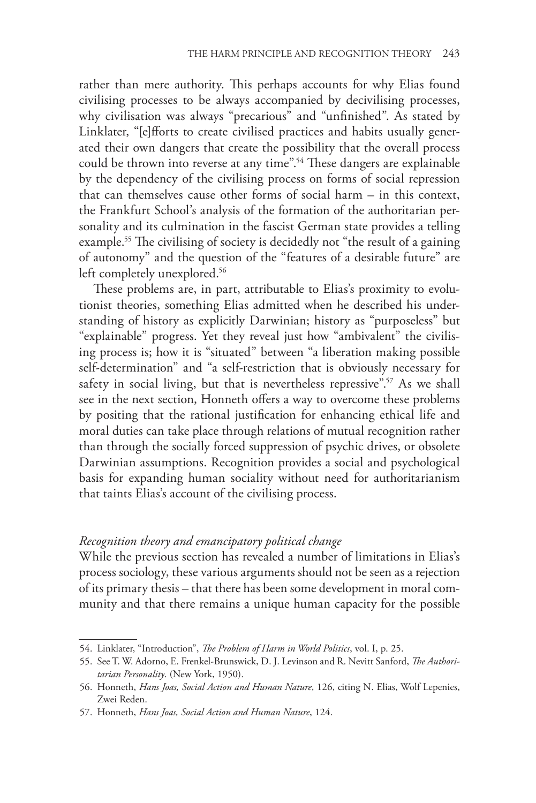rather than mere authority. This perhaps accounts for why Elias found civilising processes to be always accompanied by decivilising processes, why civilisation was always "precarious" and "unfinished". As stated by Linklater, "[e]fforts to create civilised practices and habits usually generated their own dangers that create the possibility that the overall process could be thrown into reverse at any time".<sup>54</sup> These dangers are explainable by the dependency of the civilising process on forms of social repression that can themselves cause other forms of social harm – in this context, the Frankfurt School's analysis of the formation of the authoritarian personality and its culmination in the fascist German state provides a telling example.55 The civilising of society is decidedly not "the result of a gaining of autonomy" and the question of the "features of a desirable future" are left completely unexplored.<sup>56</sup>

These problems are, in part, attributable to Elias's proximity to evolutionist theories, something Elias admitted when he described his understanding of history as explicitly Darwinian; history as "purposeless" but "explainable" progress. Yet they reveal just how "ambivalent" the civilising process is; how it is "situated" between "a liberation making possible self-determination" and "a self-restriction that is obviously necessary for safety in social living, but that is nevertheless repressive".<sup>57</sup> As we shall see in the next section, Honneth offers a way to overcome these problems by positing that the rational justification for enhancing ethical life and moral duties can take place through relations of mutual recognition rather than through the socially forced suppression of psychic drives, or obsolete Darwinian assumptions. Recognition provides a social and psychological basis for expanding human sociality without need for authoritarianism that taints Elias's account of the civilising process.

## *Recognition theory and emancipatory political change*

While the previous section has revealed a number of limitations in Elias's process sociology, these various arguments should not be seen as a rejection of its primary thesis – that there has been some development in moral community and that there remains a unique human capacity for the possible

<sup>54.</sup> Linklater, "Introduction", *The Problem of Harm in World Politics*, vol. I, p. 25.

<sup>55.</sup> See T. W. Adorno, E. Frenkel-Brunswick, D. J. Levinson and R. Nevitt Sanford, *The Authoritarian Personality*. (New York, 1950).

<sup>56.</sup> Honneth, *Hans Joas, Social Action and Human Nature*, 126, citing N. Elias, Wolf Lepenies, Zwei Reden.

<sup>57.</sup> Honneth, *Hans Joas, Social Action and Human Nature*, 124.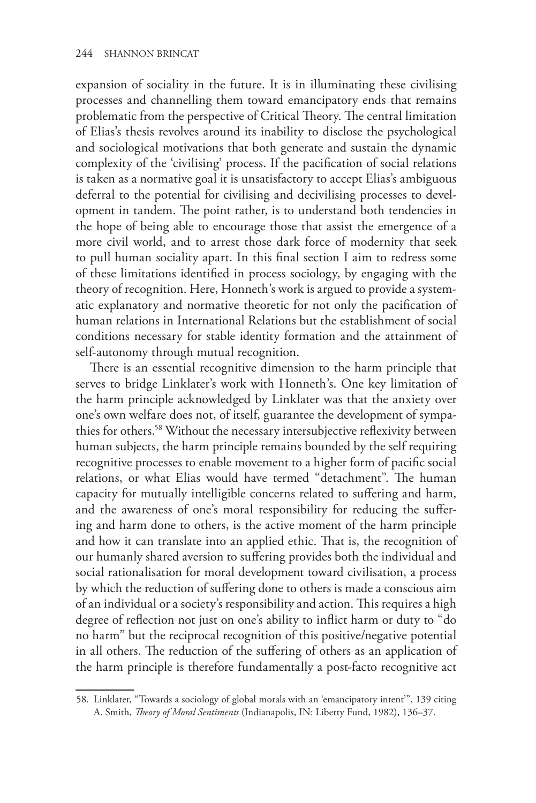expansion of sociality in the future. It is in illuminating these civilising processes and channelling them toward emancipatory ends that remains problematic from the perspective of Critical Theory. The central limitation of Elias's thesis revolves around its inability to disclose the psychological and sociological motivations that both generate and sustain the dynamic complexity of the 'civilising' process. If the pacification of social relations is taken as a normative goal it is unsatisfactory to accept Elias's ambiguous deferral to the potential for civilising and decivilising processes to development in tandem. The point rather, is to understand both tendencies in the hope of being able to encourage those that assist the emergence of a more civil world, and to arrest those dark force of modernity that seek to pull human sociality apart. In this final section I aim to redress some of these limitations identified in process sociology, by engaging with the theory of recognition. Here, Honneth's work is argued to provide a systematic explanatory and normative theoretic for not only the pacification of human relations in International Relations but the establishment of social conditions necessary for stable identity formation and the attainment of self-autonomy through mutual recognition.

There is an essential recognitive dimension to the harm principle that serves to bridge Linklater's work with Honneth's. One key limitation of the harm principle acknowledged by Linklater was that the anxiety over one's own welfare does not, of itself, guarantee the development of sympathies for others.58 Without the necessary intersubjective reflexivity between human subjects, the harm principle remains bounded by the self requiring recognitive processes to enable movement to a higher form of pacific social relations, or what Elias would have termed "detachment". The human capacity for mutually intelligible concerns related to suffering and harm, and the awareness of one's moral responsibility for reducing the suffering and harm done to others, is the active moment of the harm principle and how it can translate into an applied ethic. That is, the recognition of our humanly shared aversion to suffering provides both the individual and social rationalisation for moral development toward civilisation, a process by which the reduction of suffering done to others is made a conscious aim of an individual or a society's responsibility and action. This requires a high degree of reflection not just on one's ability to inflict harm or duty to "do no harm" but the reciprocal recognition of this positive/negative potential in all others. The reduction of the suffering of others as an application of the harm principle is therefore fundamentally a post-facto recognitive act

<sup>58.</sup> Linklater, "Towards a sociology of global morals with an 'emancipatory intent'", 139 citing A. Smith, *Theory of Moral Sentiments* (Indianapolis, IN: Liberty Fund, 1982), 136–37.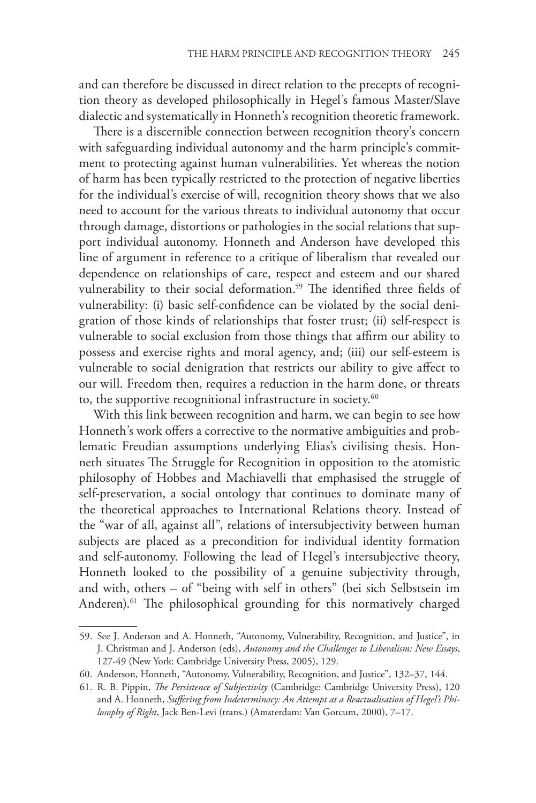and can therefore be discussed in direct relation to the precepts of recognition theory as developed philosophically in Hegel's famous Master/Slave dialectic and systematically in Honneth's recognition theoretic framework.

There is a discernible connection between recognition theory's concern with safeguarding individual autonomy and the harm principle's commitment to protecting against human vulnerabilities. Yet whereas the notion of harm has been typically restricted to the protection of negative liberties for the individual's exercise of will, recognition theory shows that we also need to account for the various threats to individual autonomy that occur through damage, distortions or pathologies in the social relations that support individual autonomy. Honneth and Anderson have developed this line of argument in reference to a critique of liberalism that revealed our dependence on relationships of care, respect and esteem and our shared vulnerability to their social deformation.<sup>59</sup> The identified three fields of vulnerability: (i) basic self-confidence can be violated by the social denigration of those kinds of relationships that foster trust; (ii) self-respect is vulnerable to social exclusion from those things that affirm our ability to possess and exercise rights and moral agency, and; (iii) our self-esteem is vulnerable to social denigration that restricts our ability to give affect to our will. Freedom then, requires a reduction in the harm done, or threats to, the supportive recognitional infrastructure in society.<sup>60</sup>

With this link between recognition and harm, we can begin to see how Honneth's work offers a corrective to the normative ambiguities and problematic Freudian assumptions underlying Elias's civilising thesis. Honneth situates The Struggle for Recognition in opposition to the atomistic philosophy of Hobbes and Machiavelli that emphasised the struggle of self-preservation, a social ontology that continues to dominate many of the theoretical approaches to International Relations theory. Instead of the "war of all, against all", relations of intersubjectivity between human subjects are placed as a precondition for individual identity formation and self-autonomy. Following the lead of Hegel's intersubjective theory, Honneth looked to the possibility of a genuine subjectivity through, and with, others – of "being with self in others" (bei sich Selbstsein im Anderen).<sup>61</sup> The philosophical grounding for this normatively charged

<sup>59.</sup> See J. Anderson and A. Honneth, "Autonomy, Vulnerability, Recognition, and Justice", in J. Christman and J. Anderson (eds), *Autonomy and the Challenges to Liberalism: New Essays*, 127-49 (New York: Cambridge University Press, 2005), 129.

<sup>60.</sup> Anderson, Honneth, "Autonomy, Vulnerability, Recognition, and Justice", 132–37, 144.

<sup>61.</sup> R. B. Pippin, *The Persistence of Subjectivity* (Cambridge: Cambridge University Press), 120 and A. Honneth, *Suffering from Indeterminacy: An Attempt at a Reactualisation of Hegel's Philosophy of Right*, Jack Ben-Levi (trans.) (Amsterdam: Van Gorcum, 2000), 7–17.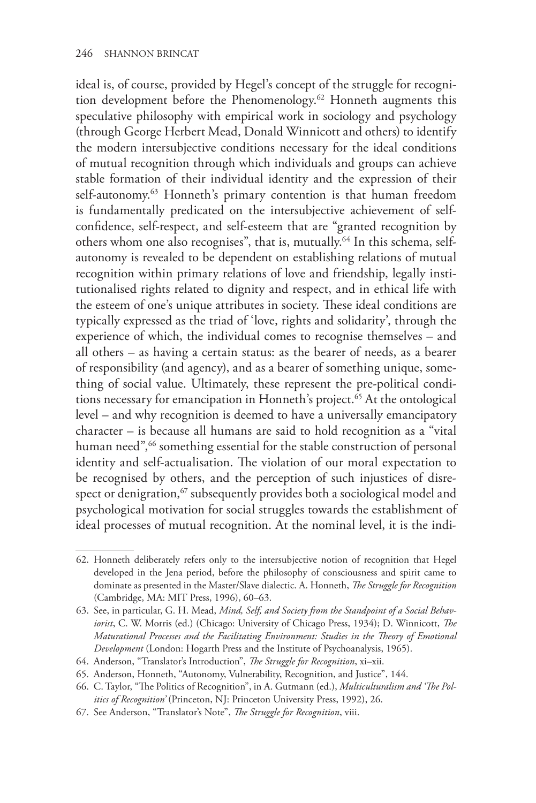ideal is, of course, provided by Hegel's concept of the struggle for recognition development before the Phenomenology.62 Honneth augments this speculative philosophy with empirical work in sociology and psychology (through George Herbert Mead, Donald Winnicott and others) to identify the modern intersubjective conditions necessary for the ideal conditions of mutual recognition through which individuals and groups can achieve stable formation of their individual identity and the expression of their self-autonomy.<sup>63</sup> Honneth's primary contention is that human freedom is fundamentally predicated on the intersubjective achievement of selfconfidence, self-respect, and self-esteem that are "granted recognition by others whom one also recognises", that is, mutually.<sup>64</sup> In this schema, selfautonomy is revealed to be dependent on establishing relations of mutual recognition within primary relations of love and friendship, legally institutionalised rights related to dignity and respect, and in ethical life with the esteem of one's unique attributes in society. These ideal conditions are typically expressed as the triad of 'love, rights and solidarity', through the experience of which, the individual comes to recognise themselves – and all others – as having a certain status: as the bearer of needs, as a bearer of responsibility (and agency), and as a bearer of something unique, something of social value. Ultimately, these represent the pre-political conditions necessary for emancipation in Honneth's project.<sup>65</sup> At the ontological level – and why recognition is deemed to have a universally emancipatory character – is because all humans are said to hold recognition as a "vital human need",<sup>66</sup> something essential for the stable construction of personal identity and self-actualisation. The violation of our moral expectation to be recognised by others, and the perception of such injustices of disrespect or denigration,<sup>67</sup> subsequently provides both a sociological model and psychological motivation for social struggles towards the establishment of ideal processes of mutual recognition. At the nominal level, it is the indi-

<sup>62.</sup> Honneth deliberately refers only to the intersubjective notion of recognition that Hegel developed in the Jena period, before the philosophy of consciousness and spirit came to dominate as presented in the Master/Slave dialectic. A. Honneth, *The Struggle for Recognition* (Cambridge, MA: MIT Press, 1996), 60–63.

<sup>63.</sup> See, in particular, G. H. Mead, *Mind, Self, and Society from the Standpoint of a Social Behaviorist*, C. W. Morris (ed.) (Chicago: University of Chicago Press, 1934); D. Winnicott, *The Maturational Processes and the Facilitating Environment: Studies in the Theory of Emotional Development* (London: Hogarth Press and the Institute of Psychoanalysis, 1965).

<sup>64.</sup> Anderson, "Translator's Introduction", *The Struggle for Recognition*, xi–xii.

<sup>65.</sup> Anderson, Honneth, "Autonomy, Vulnerability, Recognition, and Justice", 144.

<sup>66.</sup> C. Taylor, "The Politics of Recognition", in A. Gutmann (ed.), *Multiculturalism and 'The Politics of Recognition'* (Princeton, NJ: Princeton University Press, 1992), 26.

<sup>67.</sup> See Anderson, "Translator's Note", *The Struggle for Recognition*, viii.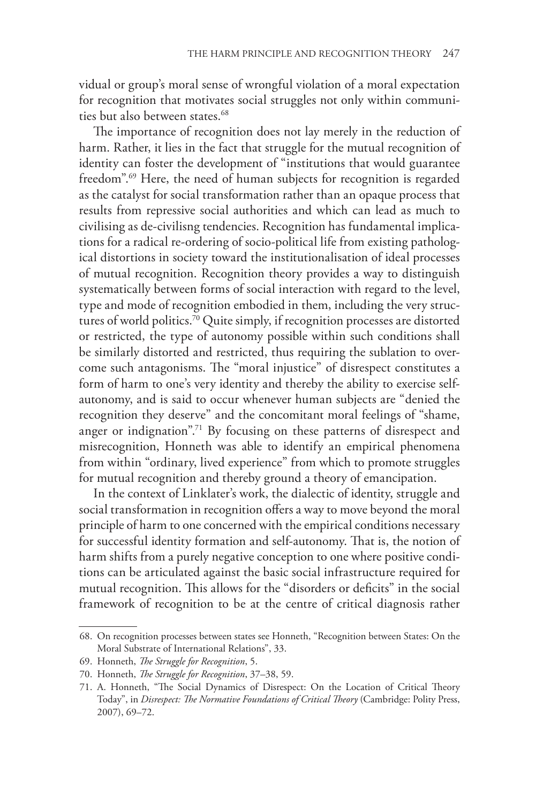vidual or group's moral sense of wrongful violation of a moral expectation for recognition that motivates social struggles not only within communities but also between states.<sup>68</sup>

The importance of recognition does not lay merely in the reduction of harm. Rather, it lies in the fact that struggle for the mutual recognition of identity can foster the development of "institutions that would guarantee freedom".69 Here, the need of human subjects for recognition is regarded as the catalyst for social transformation rather than an opaque process that results from repressive social authorities and which can lead as much to civilising as de-civilisng tendencies. Recognition has fundamental implications for a radical re-ordering of socio-political life from existing pathological distortions in society toward the institutionalisation of ideal processes of mutual recognition. Recognition theory provides a way to distinguish systematically between forms of social interaction with regard to the level, type and mode of recognition embodied in them, including the very structures of world politics.<sup>70</sup> Quite simply, if recognition processes are distorted or restricted, the type of autonomy possible within such conditions shall be similarly distorted and restricted, thus requiring the sublation to overcome such antagonisms. The "moral injustice" of disrespect constitutes a form of harm to one's very identity and thereby the ability to exercise selfautonomy, and is said to occur whenever human subjects are "denied the recognition they deserve" and the concomitant moral feelings of "shame, anger or indignation".<sup>71</sup> By focusing on these patterns of disrespect and misrecognition, Honneth was able to identify an empirical phenomena from within "ordinary, lived experience" from which to promote struggles for mutual recognition and thereby ground a theory of emancipation.

In the context of Linklater's work, the dialectic of identity, struggle and social transformation in recognition offers a way to move beyond the moral principle of harm to one concerned with the empirical conditions necessary for successful identity formation and self-autonomy. That is, the notion of harm shifts from a purely negative conception to one where positive conditions can be articulated against the basic social infrastructure required for mutual recognition. This allows for the "disorders or deficits" in the social framework of recognition to be at the centre of critical diagnosis rather

<sup>68.</sup> On recognition processes between states see Honneth, "Recognition between States: On the Moral Substrate of International Relations", 33.

<sup>69.</sup> Honneth, *The Struggle for Recognition*, 5.

<sup>70.</sup> Honneth, *The Struggle for Recognition*, 37–38, 59.

<sup>71.</sup> A. Honneth, "The Social Dynamics of Disrespect: On the Location of Critical Theory Today", in *Disrespect: The Normative Foundations of Critical Theory* (Cambridge: Polity Press, 2007), 69–72.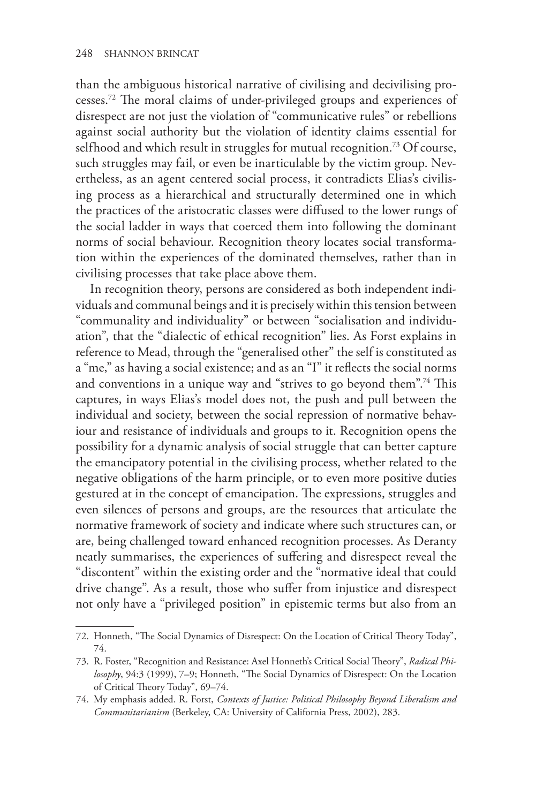than the ambiguous historical narrative of civilising and decivilising processes.72 The moral claims of under-privileged groups and experiences of disrespect are not just the violation of "communicative rules" or rebellions against social authority but the violation of identity claims essential for selfhood and which result in struggles for mutual recognition.73 Of course, such struggles may fail, or even be inarticulable by the victim group. Nevertheless, as an agent centered social process, it contradicts Elias's civilising process as a hierarchical and structurally determined one in which the practices of the aristocratic classes were diffused to the lower rungs of the social ladder in ways that coerced them into following the dominant norms of social behaviour. Recognition theory locates social transformation within the experiences of the dominated themselves, rather than in civilising processes that take place above them.

In recognition theory, persons are considered as both independent individuals and communal beings and it is precisely within this tension between "communality and individuality" or between "socialisation and individuation", that the "dialectic of ethical recognition" lies. As Forst explains in reference to Mead, through the "generalised other" the self is constituted as a "me," as having a social existence; and as an "I" it reflects the social norms and conventions in a unique way and "strives to go beyond them".74 This captures, in ways Elias's model does not, the push and pull between the individual and society, between the social repression of normative behaviour and resistance of individuals and groups to it. Recognition opens the possibility for a dynamic analysis of social struggle that can better capture the emancipatory potential in the civilising process, whether related to the negative obligations of the harm principle, or to even more positive duties gestured at in the concept of emancipation. The expressions, struggles and even silences of persons and groups, are the resources that articulate the normative framework of society and indicate where such structures can, or are, being challenged toward enhanced recognition processes. As Deranty neatly summarises, the experiences of suffering and disrespect reveal the "discontent" within the existing order and the "normative ideal that could drive change". As a result, those who suffer from injustice and disrespect not only have a "privileged position" in epistemic terms but also from an

<sup>72.</sup> Honneth, "The Social Dynamics of Disrespect: On the Location of Critical Theory Today", 74.

<sup>73.</sup> R. Foster, "Recognition and Resistance: Axel Honneth's Critical Social Theory", *Radical Philosophy*, 94:3 (1999), 7–9; Honneth, "The Social Dynamics of Disrespect: On the Location of Critical Theory Today", 69–74.

<sup>74.</sup> My emphasis added. R. Forst, *Contexts of Justice: Political Philosophy Beyond Liberalism and Communitarianism* (Berkeley, CA: University of California Press, 2002), 283.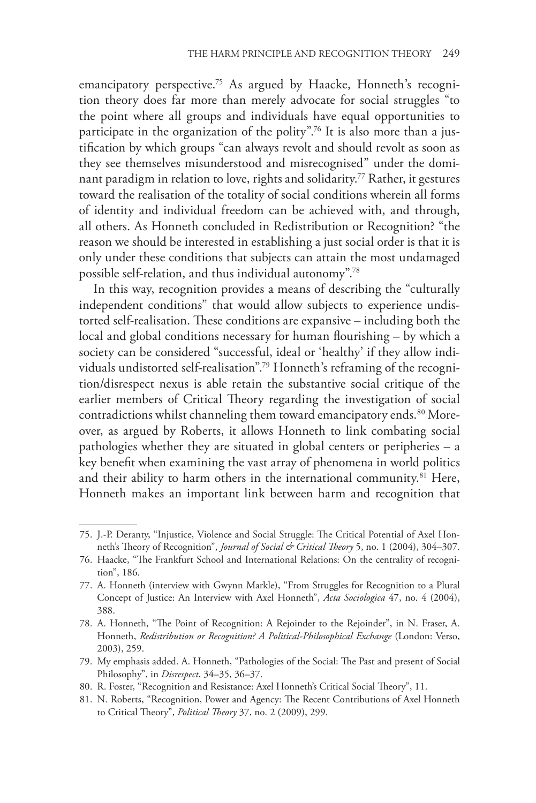emancipatory perspective.<sup>75</sup> As argued by Haacke, Honneth's recognition theory does far more than merely advocate for social struggles "to the point where all groups and individuals have equal opportunities to participate in the organization of the polity".<sup>76</sup> It is also more than a justification by which groups "can always revolt and should revolt as soon as they see themselves misunderstood and misrecognised" under the dominant paradigm in relation to love, rights and solidarity.<sup>77</sup> Rather, it gestures toward the realisation of the totality of social conditions wherein all forms of identity and individual freedom can be achieved with, and through, all others. As Honneth concluded in Redistribution or Recognition? "the reason we should be interested in establishing a just social order is that it is only under these conditions that subjects can attain the most undamaged possible self-relation, and thus individual autonomy".78

In this way, recognition provides a means of describing the "culturally independent conditions" that would allow subjects to experience undistorted self-realisation. These conditions are expansive – including both the local and global conditions necessary for human flourishing – by which a society can be considered "successful, ideal or 'healthy' if they allow individuals undistorted self-realisation".79 Honneth's reframing of the recognition/disrespect nexus is able retain the substantive social critique of the earlier members of Critical Theory regarding the investigation of social contradictions whilst channeling them toward emancipatory ends.<sup>80</sup> Moreover, as argued by Roberts, it allows Honneth to link combating social pathologies whether they are situated in global centers or peripheries – a key benefit when examining the vast array of phenomena in world politics and their ability to harm others in the international community.<sup>81</sup> Here, Honneth makes an important link between harm and recognition that

- 79. My emphasis added. A. Honneth, "Pathologies of the Social: The Past and present of Social Philosophy", in *Disrespect*, 34–35, 36–37.
- 80. R. Foster, "Recognition and Resistance: Axel Honneth's Critical Social Theory", 11.
- 81. N. Roberts, "Recognition, Power and Agency: The Recent Contributions of Axel Honneth to Critical Theory", *Political Theory* 37, no. 2 (2009), 299.

<sup>75.</sup> J.-P. Deranty, "Injustice, Violence and Social Struggle: The Critical Potential of Axel Honneth's Theory of Recognition", *Journal of Social & Critical Theory* 5, no. 1 (2004), 304–307.

<sup>76.</sup> Haacke, "The Frankfurt School and International Relations: On the centrality of recognition", 186.

<sup>77.</sup> A. Honneth (interview with Gwynn Markle), "From Struggles for Recognition to a Plural Concept of Justice: An Interview with Axel Honneth", *Acta Sociologica* 47, no. 4 (2004), 388.

<sup>78.</sup> A. Honneth, "The Point of Recognition: A Rejoinder to the Rejoinder", in N. Fraser, A. Honneth, *Redistribution or Recognition? A Political-Philosophical Exchange* (London: Verso, 2003), 259.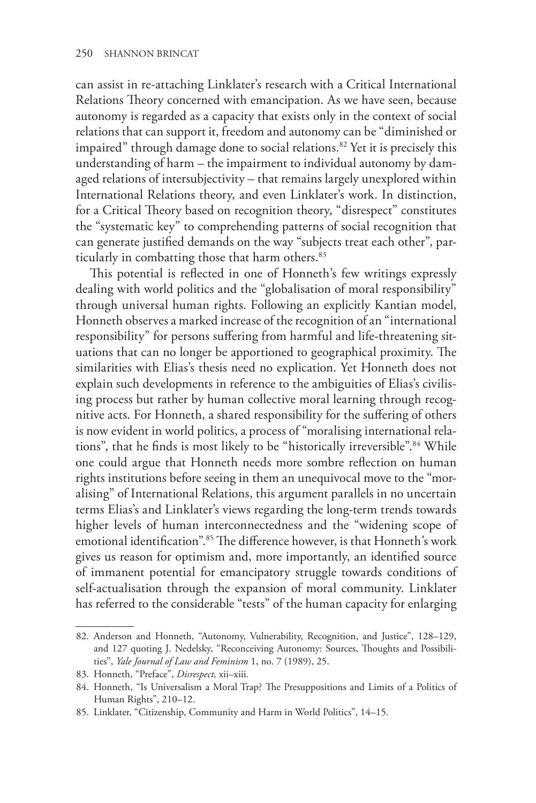can assist in re-attaching Linklater's research with a Critical International Relations Theory concerned with emancipation. As we have seen, because autonomy is regarded as a capacity that exists only in the context of social relations that can support it, freedom and autonomy can be "diminished or impaired" through damage done to social relations.<sup>82</sup> Yet it is precisely this understanding of harm – the impairment to individual autonomy by damaged relations of intersubjectivity – that remains largely unexplored within International Relations theory, and even Linklater's work. In distinction, for a Critical Theory based on recognition theory, "disrespect" constitutes the "systematic key" to comprehending patterns of social recognition that can generate justified demands on the way "subjects treat each other", particularly in combatting those that harm others.<sup>83</sup>

This potential is reflected in one of Honneth's few writings expressly dealing with world politics and the "globalisation of moral responsibility" through universal human rights. Following an explicitly Kantian model, Honneth observes a marked increase of the recognition of an "international responsibility" for persons suffering from harmful and life-threatening situations that can no longer be apportioned to geographical proximity. The similarities with Elias's thesis need no explication. Yet Honneth does not explain such developments in reference to the ambiguities of Elias's civilising process but rather by human collective moral learning through recognitive acts. For Honneth, a shared responsibility for the suffering of others is now evident in world politics, a process of "moralising international relations", that he finds is most likely to be "historically irreversible".<sup>84</sup> While one could argue that Honneth needs more sombre reflection on human rights institutions before seeing in them an unequivocal move to the "moralising" of International Relations, this argument parallels in no uncertain terms Elias's and Linklater's views regarding the long-term trends towards higher levels of human interconnectedness and the "widening scope of emotional identification".85 The difference however, is that Honneth's work gives us reason for optimism and, more importantly, an identified source of immanent potential for emancipatory struggle towards conditions of self-actualisation through the expansion of moral community. Linklater has referred to the considerable "tests" of the human capacity for enlarging

<sup>82.</sup> Anderson and Honneth, "Autonomy, Vulnerability, Recognition, and Justice", 128–129, and 127 quoting J. Nedelsky, "Reconceiving Autonomy: Sources, Thoughts and Possibilities", *Yale Journal of Law and Feminism* 1, no. 7 (1989), 25.

<sup>83.</sup> Honneth, "Preface", *Disrespect,* xii–xiii.

<sup>84.</sup> Honneth, "Is Universalism a Moral Trap? The Presuppositions and Limits of a Politics of Human Rights", 210–12.

<sup>85.</sup> Linklater, "Citizenship, Community and Harm in World Politics", 14–15.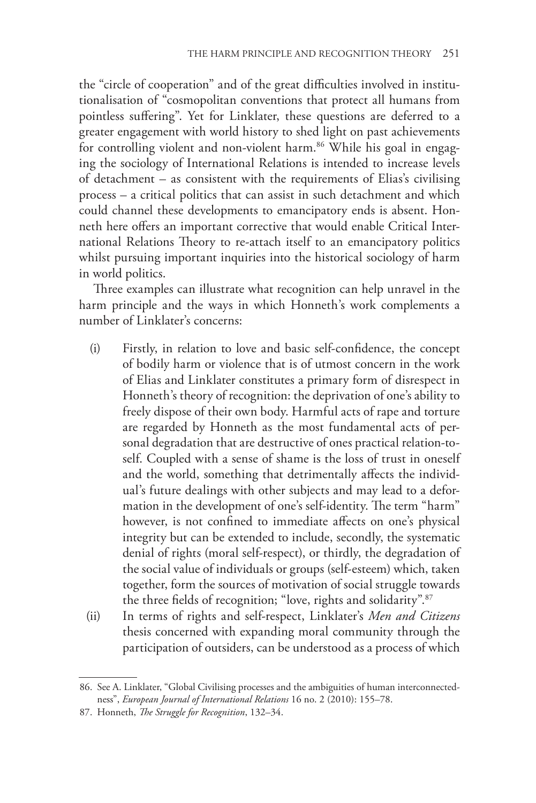the "circle of cooperation" and of the great difficulties involved in institutionalisation of "cosmopolitan conventions that protect all humans from pointless suffering". Yet for Linklater, these questions are deferred to a greater engagement with world history to shed light on past achievements for controlling violent and non-violent harm.<sup>86</sup> While his goal in engaging the sociology of International Relations is intended to increase levels of detachment – as consistent with the requirements of Elias's civilising process – a critical politics that can assist in such detachment and which could channel these developments to emancipatory ends is absent. Honneth here offers an important corrective that would enable Critical International Relations Theory to re-attach itself to an emancipatory politics whilst pursuing important inquiries into the historical sociology of harm in world politics.

Three examples can illustrate what recognition can help unravel in the harm principle and the ways in which Honneth's work complements a number of Linklater's concerns:

- (i) Firstly, in relation to love and basic self-confidence, the concept of bodily harm or violence that is of utmost concern in the work of Elias and Linklater constitutes a primary form of disrespect in Honneth's theory of recognition: the deprivation of one's ability to freely dispose of their own body. Harmful acts of rape and torture are regarded by Honneth as the most fundamental acts of personal degradation that are destructive of ones practical relation-toself. Coupled with a sense of shame is the loss of trust in oneself and the world, something that detrimentally affects the individual's future dealings with other subjects and may lead to a deformation in the development of one's self-identity. The term "harm" however, is not confined to immediate affects on one's physical integrity but can be extended to include, secondly, the systematic denial of rights (moral self-respect), or thirdly, the degradation of the social value of individuals or groups (self-esteem) which, taken together, form the sources of motivation of social struggle towards the three fields of recognition; "love, rights and solidarity".87
- (ii) In terms of rights and self-respect, Linklater's *Men and Citizens* thesis concerned with expanding moral community through the participation of outsiders, can be understood as a process of which

<sup>86.</sup> See A. Linklater, "Global Civilising processes and the ambiguities of human interconnectedness", *European Journal of International Relations* 16 no. 2 (2010): 155–78.

<sup>87.</sup> Honneth, *The Struggle for Recognition*, 132–34.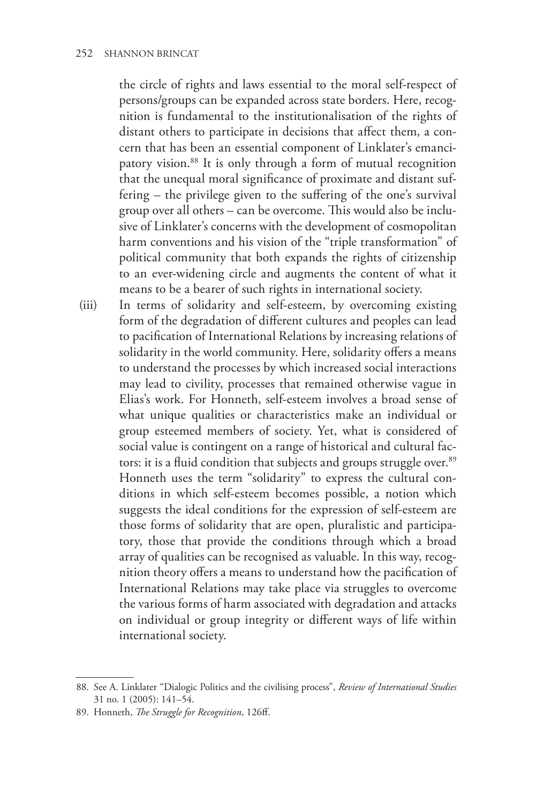the circle of rights and laws essential to the moral self-respect of persons/groups can be expanded across state borders. Here, recognition is fundamental to the institutionalisation of the rights of distant others to participate in decisions that affect them, a concern that has been an essential component of Linklater's emancipatory vision.88 It is only through a form of mutual recognition that the unequal moral significance of proximate and distant suffering – the privilege given to the suffering of the one's survival group over all others – can be overcome. This would also be inclusive of Linklater's concerns with the development of cosmopolitan harm conventions and his vision of the "triple transformation" of political community that both expands the rights of citizenship to an ever-widening circle and augments the content of what it means to be a bearer of such rights in international society.

(iii) In terms of solidarity and self-esteem, by overcoming existing form of the degradation of different cultures and peoples can lead to pacification of International Relations by increasing relations of solidarity in the world community. Here, solidarity offers a means to understand the processes by which increased social interactions may lead to civility, processes that remained otherwise vague in Elias's work. For Honneth, self-esteem involves a broad sense of what unique qualities or characteristics make an individual or group esteemed members of society. Yet, what is considered of social value is contingent on a range of historical and cultural factors: it is a fluid condition that subjects and groups struggle over.<sup>89</sup> Honneth uses the term "solidarity" to express the cultural conditions in which self-esteem becomes possible, a notion which suggests the ideal conditions for the expression of self-esteem are those forms of solidarity that are open, pluralistic and participatory, those that provide the conditions through which a broad array of qualities can be recognised as valuable. In this way, recognition theory offers a means to understand how the pacification of International Relations may take place via struggles to overcome the various forms of harm associated with degradation and attacks on individual or group integrity or different ways of life within international society.

<sup>88.</sup> See A. Linklater "Dialogic Politics and the civilising process", *Review of International Studies* 31 no. 1 (2005): 141–54.

<sup>89.</sup> Honneth, *The Struggle for Recognition*, 126ff.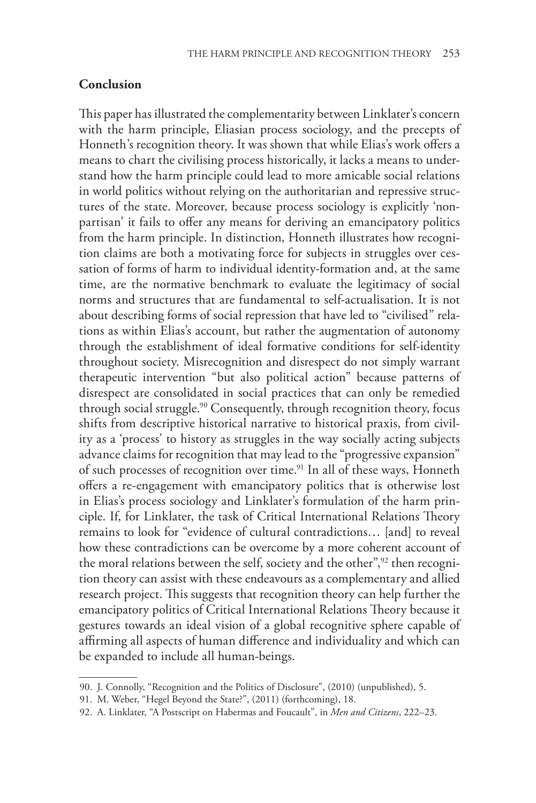#### **Conclusion**

This paper has illustrated the complementarity between Linklater's concern with the harm principle, Eliasian process sociology, and the precepts of Honneth's recognition theory. It was shown that while Elias's work offers a means to chart the civilising process historically, it lacks a means to understand how the harm principle could lead to more amicable social relations in world politics without relying on the authoritarian and repressive structures of the state. Moreover, because process sociology is explicitly 'nonpartisan' it fails to offer any means for deriving an emancipatory politics from the harm principle. In distinction, Honneth illustrates how recognition claims are both a motivating force for subjects in struggles over cessation of forms of harm to individual identity-formation and, at the same time, are the normative benchmark to evaluate the legitimacy of social norms and structures that are fundamental to self-actualisation. It is not about describing forms of social repression that have led to "civilised" relations as within Elias's account, but rather the augmentation of autonomy through the establishment of ideal formative conditions for self-identity throughout society. Misrecognition and disrespect do not simply warrant therapeutic intervention "but also political action" because patterns of disrespect are consolidated in social practices that can only be remedied through social struggle.90 Consequently, through recognition theory, focus shifts from descriptive historical narrative to historical praxis, from civility as a 'process' to history as struggles in the way socially acting subjects advance claims for recognition that may lead to the "progressive expansion" of such processes of recognition over time.<sup>91</sup> In all of these ways, Honneth offers a re-engagement with emancipatory politics that is otherwise lost in Elias's process sociology and Linklater's formulation of the harm principle. If, for Linklater, the task of Critical International Relations Theory remains to look for "evidence of cultural contradictions… [and] to reveal how these contradictions can be overcome by a more coherent account of the moral relations between the self, society and the other",<sup>92</sup> then recognition theory can assist with these endeavours as a complementary and allied research project. This suggests that recognition theory can help further the emancipatory politics of Critical International Relations Theory because it gestures towards an ideal vision of a global recognitive sphere capable of affirming all aspects of human difference and individuality and which can be expanded to include all human-beings.

<sup>90.</sup> J. Connolly, "Recognition and the Politics of Disclosure", (2010) (unpublished), 5.

<sup>91.</sup> M. Weber, "Hegel Beyond the State?", (2011) (forthcoming), 18.

<sup>92.</sup> A. Linklater, "A Postscript on Habermas and Foucault", in *Men and Citizens*, 222–23.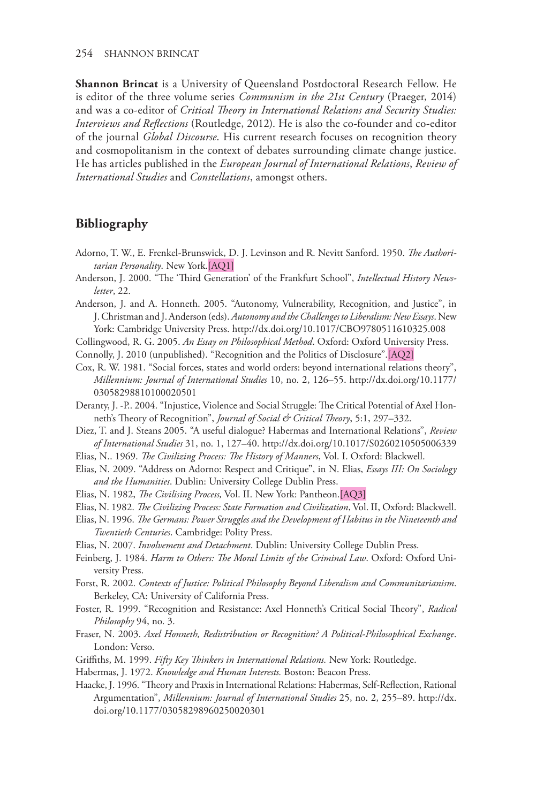**Shannon Brincat** is a University of Queensland Postdoctoral Research Fellow. He is editor of the three volume series *Communism in the 21st Century* (Praeger, 2014) and was a co-editor of *Critical Theory in International Relations and Security Studies: Interviews and Reflections* (Routledge, 2012). He is also the co-founder and co-editor of the journal *Global Discourse*. His current research focuses on recognition theory and cosmopolitanism in the context of debates surrounding climate change justice. He has articles published in the *European Journal of International Relations*, *Review of International Studies* and *Constellations*, amongst others.

#### **Bibliography**

- Adorno, T. W., E. Frenkel-Brunswick, D. J. Levinson and R. Nevitt Sanford. 1950. *The Authoritarian Personality*. New York.[AQ1]
- Anderson, J. 2000. "The 'Third Generation' of the Frankfurt School", *Intellectual History Newsletter*, 22.
- Anderson, J. and A. Honneth. 2005. "Autonomy, Vulnerability, Recognition, and Justice", in J. Christman and J. Anderson (eds). *Autonomy and the Challenges to Liberalism: New Essays*. New York: Cambridge University Press. http://dx.doi.org/10.1017/CBO9780511610325.008
- Collingwood, R. G. 2005. *An Essay on Philosophical Method*. Oxford: Oxford University Press.
- Connolly, J. 2010 (unpublished). "Recognition and the Politics of Disclosure".[AQ2]
- Cox, R. W. 1981. "Social forces, states and world orders: beyond international relations theory", *Millennium: Journal of International Studies* 10, no. 2, 126–55. http://dx.doi.org/10.1177/ 03058298810100020501
- Deranty, J. -P.. 2004. "Injustice, Violence and Social Struggle: The Critical Potential of Axel Honneth's Theory of Recognition", *Journal of Social & Critical Theory*, 5:1, 297–332.
- Diez, T. and J. Steans 2005. "A useful dialogue? Habermas and International Relations", *Review of International Studies* 31, no. 1, 127–40. http://dx.doi.org/10.1017/S0260210505006339
- Elias, N.. 1969. *The Civilizing Process: The History of Manners*, Vol. I. Oxford: Blackwell.
- Elias, N. 2009. "Address on Adorno: Respect and Critique", in N. Elias, *Essays III: On Sociology and the Humanities*. Dublin: University College Dublin Press.
- Elias, N. 1982, *The Civilising Process,* Vol. II. New York: Pantheon.[AQ3]
- Elias, N. 1982. *The Civilizing Process: State Formation and Civilization*, Vol. II, Oxford: Blackwell.
- Elias, N. 1996. *The Germans: Power Struggles and the Development of Habitus in the Nineteenth and Twentieth Centuries*. Cambridge: Polity Press.
- Elias, N. 2007. *Involvement and Detachment*. Dublin: University College Dublin Press.
- Feinberg, J. 1984. *Harm to Others: The Moral Limits of the Criminal Law*. Oxford: Oxford University Press.
- Forst, R. 2002. *Contexts of Justice: Political Philosophy Beyond Liberalism and Communitarianism*. Berkeley, CA: University of California Press.
- Foster, R. 1999. "Recognition and Resistance: Axel Honneth's Critical Social Theory", *Radical Philosophy* 94, no. 3.
- Fraser, N. 2003. *Axel Honneth, Redistribution or Recognition? A Political-Philosophical Exchange*. London: Verso.
- Griffiths, M. 1999. *Fifty Key Thinkers in International Relations.* New York: Routledge.
- Habermas, J. 1972. *Knowledge and Human Interests.* Boston: Beacon Press.
- Haacke, J. 1996. "Theory and Praxis in International Relations: Habermas, Self-Reflection, Rational Argumentation", *Millennium: Journal of International Studies* 25, no. 2, 255–89. http://dx. doi.org/10.1177/03058298960250020301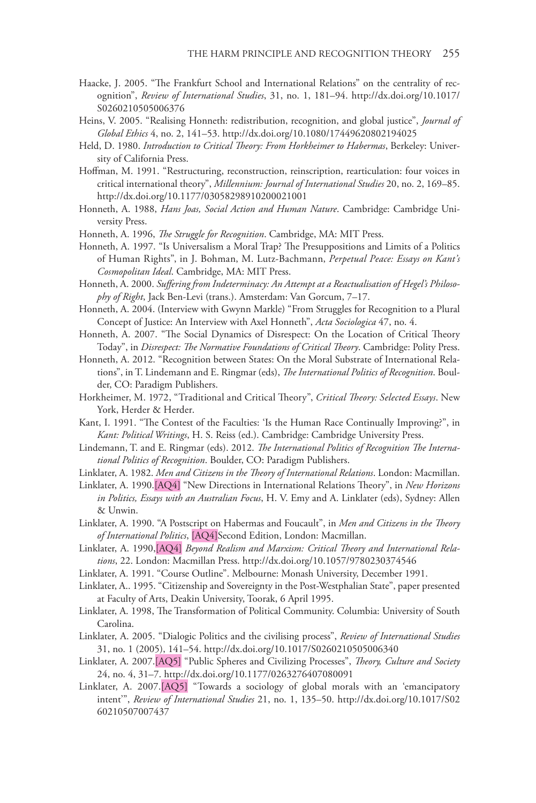- Haacke, J. 2005. "The Frankfurt School and International Relations" on the centrality of recognition", *Review of International Studies*, 31, no. 1, 181–94. http://dx.doi.org/10.1017/ S0260210505006376
- Heins, V. 2005. "Realising Honneth: redistribution, recognition, and global justice", *Journal of Global Ethics* 4, no. 2, 141–53. http://dx.doi.org/10.1080/17449620802194025
- Held, D. 1980. *Introduction to Critical Theory: From Horkheimer to Habermas*, Berkeley: University of California Press.
- Hoffman, M. 1991. "Restructuring, reconstruction, reinscription, rearticulation: four voices in critical international theory", *Millennium: Journal of International Studies* 20, no. 2, 169–85. http://dx.doi.org/10.1177/03058298910200021001
- Honneth, A. 1988, *Hans Joas, Social Action and Human Nature*. Cambridge: Cambridge University Press.
- Honneth, A. 1996, *The Struggle for Recognition*. Cambridge, MA: MIT Press.
- Honneth, A. 1997. "Is Universalism a Moral Trap? The Presuppositions and Limits of a Politics of Human Rights", in J. Bohman, M. Lutz-Bachmann, *Perpetual Peace: Essays on Kant's Cosmopolitan Ideal*. Cambridge, MA: MIT Press.
- Honneth, A. 2000. *Suffering from Indeterminacy: An Attempt at a Reactualisation of Hegel's Philosophy of Right*, Jack Ben-Levi (trans.). Amsterdam: Van Gorcum, 7–17.
- Honneth, A. 2004. (Interview with Gwynn Markle) "From Struggles for Recognition to a Plural Concept of Justice: An Interview with Axel Honneth", *Acta Sociologica* 47, no. 4.
- Honneth, A. 2007. "The Social Dynamics of Disrespect: On the Location of Critical Theory Today", in *Disrespect: The Normative Foundations of Critical Theory*. Cambridge: Polity Press.
- Honneth, A. 2012. "Recognition between States: On the Moral Substrate of International Relations", in T. Lindemann and E. Ringmar (eds), *The International Politics of Recognition*. Boulder, CO: Paradigm Publishers.
- Horkheimer, M. 1972, "Traditional and Critical Theory", *Critical Theory: Selected Essays*. New York, Herder & Herder.
- Kant, I. 1991. "The Contest of the Faculties: 'Is the Human Race Continually Improving?", in *Kant: Political Writings*, H. S. Reiss (ed.). Cambridge: Cambridge University Press.
- Lindemann, T. and E. Ringmar (eds). 2012. *The International Politics of Recognition The International Politics of Recognition*. Boulder, CO: Paradigm Publishers.
- Linklater, A. 1982. *Men and Citizens in the Theory of International Relations*. London: Macmillan.
- Linklater, A. 1990.[AQ4] "New Directions in International Relations Theory", in *New Horizons in Politics, Essays with an Australian Focus*, H. V. Emy and A. Linklater (eds), Sydney: Allen & Unwin.
- Linklater, A. 1990. "A Postscript on Habermas and Foucault", in *Men and Citizens in the Theory of International Politics*, [AQ4]Second Edition, London: Macmillan.
- Linklater, A. 1990,[AQ4] *Beyond Realism and Marxism: Critical Theory and International Relations*, 22. London: Macmillan Press. http://dx.doi.org/10.1057/9780230374546
- Linklater, A. 1991. "Course Outline". Melbourne: Monash University, December 1991.
- Linklater, A.. 1995. "Citizenship and Sovereignty in the Post-Westphalian State", paper presented at Faculty of Arts, Deakin University, Toorak, 6 April 1995.
- Linklater, A. 1998, The Transformation of Political Community. Columbia: University of South Carolina.
- Linklater, A. 2005. "Dialogic Politics and the civilising process", *Review of International Studies* 31, no. 1 (2005), 141–54. http://dx.doi.org/10.1017/S0260210505006340
- Linklater, A. 2007.[AQ5] "Public Spheres and Civilizing Processes", *Theory, Culture and Society* 24, no. 4, 31–7. http://dx.doi.org/10.1177/0263276407080091
- Linklater, A. 2007.[AQ5] "Towards a sociology of global morals with an 'emancipatory intent'", *Review of International Studies* 21, no. 1, 135–50. http://dx.doi.org/10.1017/S02 60210507007437